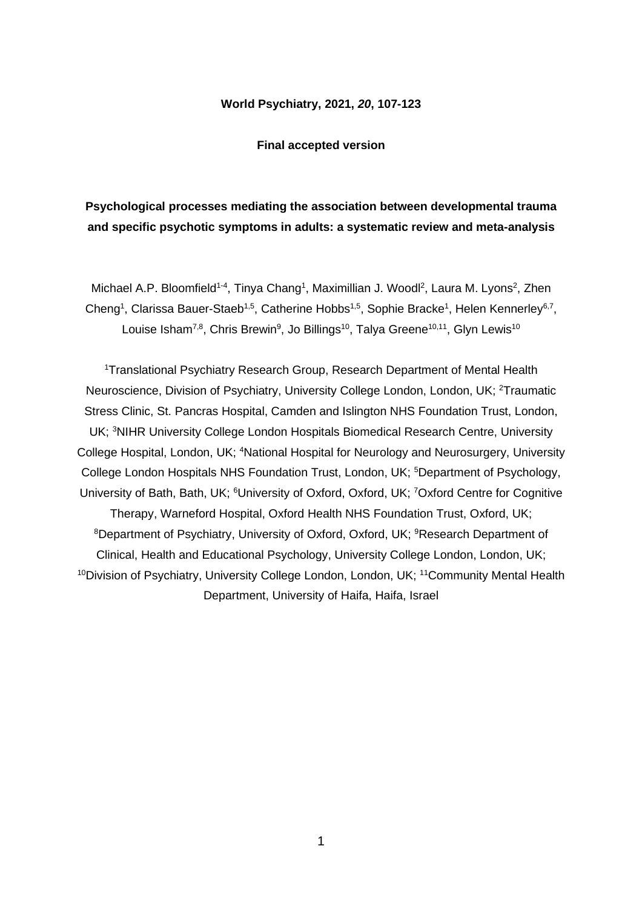## **World Psychiatry, 2021,** *20***, 107-123**

#### **Final accepted version**

## **Psychological processes mediating the association between developmental trauma and specific psychotic symptoms in adults: a systematic review and meta-analysis**

Michael A.P. Bloomfield<sup>1-4</sup>, Tinya Chang<sup>1</sup>, Maximillian J. Woodl<sup>2</sup>, Laura M. Lyons<sup>2</sup>, Zhen Cheng<sup>1</sup>, Clarissa Bauer-Staeb<sup>1,5</sup>, Catherine Hobbs<sup>1,5</sup>, Sophie Bracke<sup>1</sup>, Helen Kennerley<sup>6,7</sup>, Louise Isham<sup>7,8</sup>, Chris Brewin<sup>9</sup>, Jo Billings<sup>10</sup>, Talya Greene<sup>10,11</sup>, Glyn Lewis<sup>10</sup>

<sup>1</sup>Translational Psychiatry Research Group, Research Department of Mental Health Neuroscience, Division of Psychiatry, University College London, London, UK; <sup>2</sup>Traumatic Stress Clinic, St. Pancras Hospital, Camden and Islington NHS Foundation Trust, London, UK; <sup>3</sup>NIHR University College London Hospitals Biomedical Research Centre, University College Hospital, London, UK; <sup>4</sup>National Hospital for Neurology and Neurosurgery, University College London Hospitals NHS Foundation Trust, London, UK; <sup>5</sup>Department of Psychology, University of Bath, Bath, UK; <sup>6</sup>University of Oxford, Oxford, UK; <sup>7</sup>Oxford Centre for Cognitive Therapy, Warneford Hospital, Oxford Health NHS Foundation Trust, Oxford, UK; <sup>8</sup>Department of Psychiatry, University of Oxford, Oxford, UK; <sup>9</sup>Research Department of Clinical, Health and Educational Psychology, University College London, London, UK; <sup>10</sup>Division of Psychiatry, University College London, London, UK; <sup>11</sup>Community Mental Health Department, University of Haifa, Haifa, Israel

1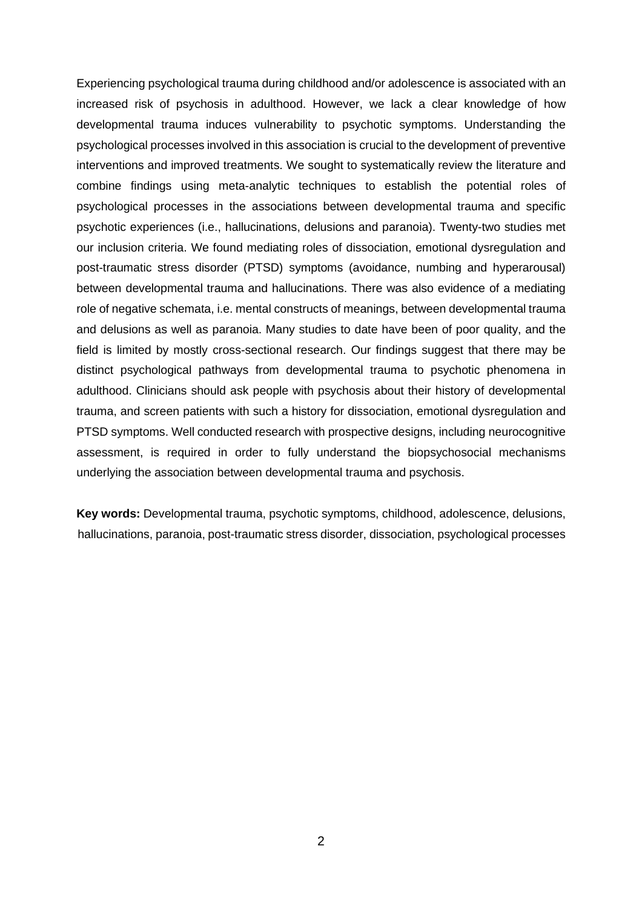Experiencing psychological trauma during childhood and/or adolescence is associated with an increased risk of psychosis in adulthood. However, we lack a clear knowledge of how developmental trauma induces vulnerability to psychotic symptoms. Understanding the psychological processes involved in this association is crucial to the development of preventive interventions and improved treatments. We sought to systematically review the literature and combine findings using meta-analytic techniques to establish the potential roles of psychological processes in the associations between developmental trauma and specific psychotic experiences (i.e., hallucinations, delusions and paranoia). Twenty-two studies met our inclusion criteria. We found mediating roles of dissociation, emotional dysregulation and post-traumatic stress disorder (PTSD) symptoms (avoidance, numbing and hyperarousal) between developmental trauma and hallucinations. There was also evidence of a mediating role of negative schemata, i.e. mental constructs of meanings, between developmental trauma and delusions as well as paranoia. Many studies to date have been of poor quality, and the field is limited by mostly cross-sectional research. Our findings suggest that there may be distinct psychological pathways from developmental trauma to psychotic phenomena in adulthood. Clinicians should ask people with psychosis about their history of developmental trauma, and screen patients with such a history for dissociation, emotional dysregulation and PTSD symptoms. Well conducted research with prospective designs, including neurocognitive assessment, is required in order to fully understand the biopsychosocial mechanisms underlying the association between developmental trauma and psychosis.

**Key words:** Developmental trauma, psychotic symptoms, childhood, adolescence, delusions, hallucinations, paranoia, post-traumatic stress disorder, dissociation, psychological processes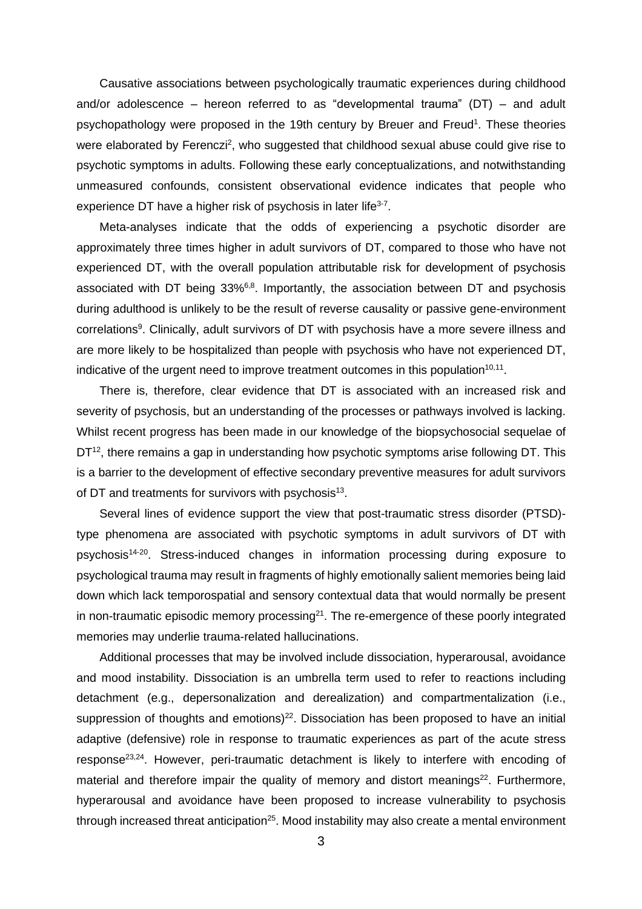Causative associations between psychologically traumatic experiences during childhood and/or adolescence – hereon referred to as "developmental trauma" (DT) – and adult psychopathology were proposed in the 19th century by Breuer and Freud<sup>1</sup>. These theories were elaborated by Ferenczi<sup>2</sup>, who suggested that childhood sexual abuse could give rise to psychotic symptoms in adults. Following these early conceptualizations, and notwithstanding unmeasured confounds, consistent observational evidence indicates that people who experience DT have a higher risk of psychosis in later life<sup>3-7</sup>.

Meta-analyses indicate that the odds of experiencing a psychotic disorder are approximately three times higher in adult survivors of DT, compared to those who have not experienced DT, with the overall population attributable risk for development of psychosis associated with DT being 33%<sup>6,8</sup>. Importantly, the association between DT and psychosis during adulthood is unlikely to be the result of reverse causality or passive gene-environment correlations<sup>9</sup>. Clinically, adult survivors of DT with psychosis have a more severe illness and are more likely to be hospitalized than people with psychosis who have not experienced DT, indicative of the urgent need to improve treatment outcomes in this population $^{10,11}$ .

There is, therefore, clear evidence that DT is associated with an increased risk and severity of psychosis, but an understanding of the processes or pathways involved is lacking. Whilst recent progress has been made in our knowledge of the biopsychosocial sequelae of  $DT^{12}$ , there remains a gap in understanding how psychotic symptoms arise following DT. This is a barrier to the development of effective secondary preventive measures for adult survivors of DT and treatments for survivors with psychosis<sup>13</sup>.

Several lines of evidence support the view that post-traumatic stress disorder (PTSD) type phenomena are associated with psychotic symptoms in adult survivors of DT with psychosis<sup>14-20</sup>. Stress-induced changes in information processing during exposure to psychological trauma may result in fragments of highly emotionally salient memories being laid down which lack temporospatial and sensory contextual data that would normally be present in non-traumatic episodic memory processing<sup>21</sup>. The re-emergence of these poorly integrated memories may underlie trauma-related hallucinations.

Additional processes that may be involved include dissociation, hyperarousal, avoidance and mood instability. Dissociation is an umbrella term used to refer to reactions including detachment (e.g., depersonalization and derealization) and compartmentalization (i.e., suppression of thoughts and emotions) $^{22}$ . Dissociation has been proposed to have an initial adaptive (defensive) role in response to traumatic experiences as part of the acute stress response<sup>23,24</sup>. However, peri-traumatic detachment is likely to interfere with encoding of material and therefore impair the quality of memory and distort meanings<sup>22</sup>. Furthermore, hyperarousal and avoidance have been proposed to increase vulnerability to psychosis through increased threat anticipation<sup>25</sup>. Mood instability may also create a mental environment

3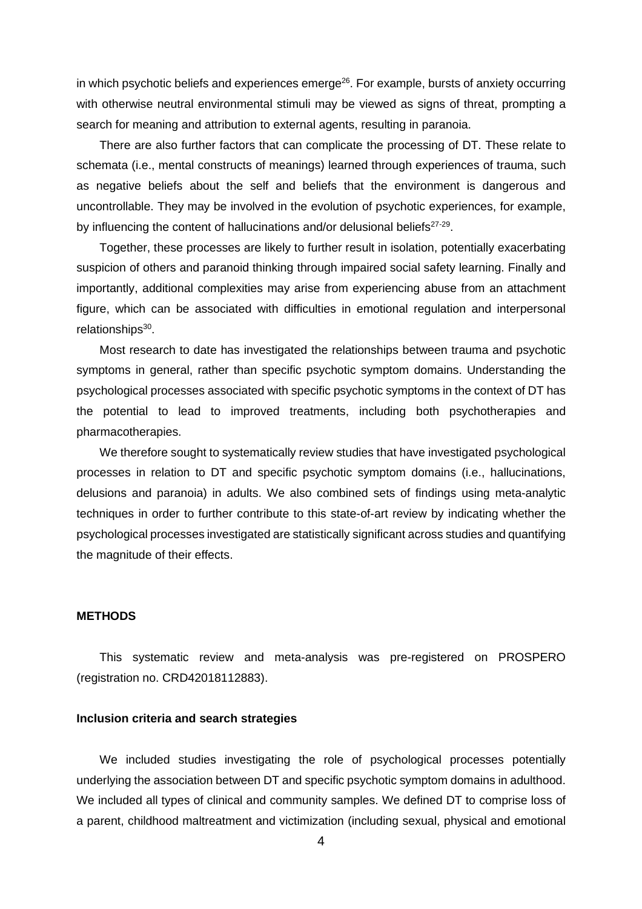in which psychotic beliefs and experiences emerge<sup>26</sup>. For example, bursts of anxiety occurring with otherwise neutral environmental stimuli may be viewed as signs of threat, prompting a search for meaning and attribution to external agents, resulting in paranoia.

There are also further factors that can complicate the processing of DT. These relate to schemata (i.e., mental constructs of meanings) learned through experiences of trauma, such as negative beliefs about the self and beliefs that the environment is dangerous and uncontrollable. They may be involved in the evolution of psychotic experiences, for example, by influencing the content of hallucinations and/or delusional beliefs<sup>27-29</sup>.

Together, these processes are likely to further result in isolation, potentially exacerbating suspicion of others and paranoid thinking through impaired social safety learning. Finally and importantly, additional complexities may arise from experiencing abuse from an attachment figure, which can be associated with difficulties in emotional regulation and interpersonal relationships<sup>30</sup>.

Most research to date has investigated the relationships between trauma and psychotic symptoms in general, rather than specific psychotic symptom domains. Understanding the psychological processes associated with specific psychotic symptoms in the context of DT has the potential to lead to improved treatments, including both psychotherapies and pharmacotherapies.

We therefore sought to systematically review studies that have investigated psychological processes in relation to DT and specific psychotic symptom domains (i.e., hallucinations, delusions and paranoia) in adults. We also combined sets of findings using meta-analytic techniques in order to further contribute to this state-of-art review by indicating whether the psychological processes investigated are statistically significant across studies and quantifying the magnitude of their effects.

### **METHODS**

This systematic review and meta-analysis was pre-registered on PROSPERO (registration no. CRD42018112883).

## **Inclusion criteria and search strategies**

We included studies investigating the role of psychological processes potentially underlying the association between DT and specific psychotic symptom domains in adulthood. We included all types of clinical and community samples. We defined DT to comprise loss of a parent, childhood maltreatment and victimization (including sexual, physical and emotional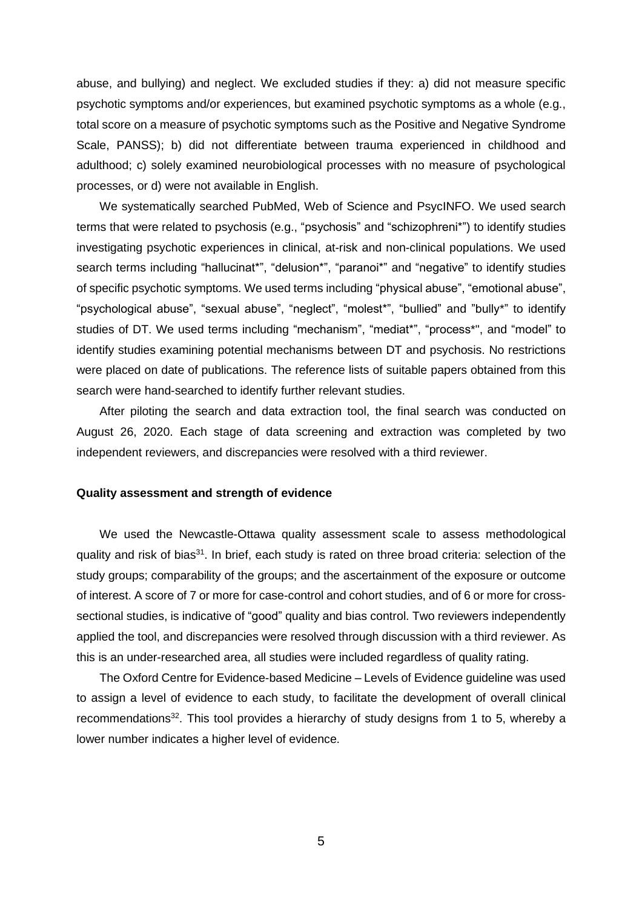abuse, and bullying) and neglect. We excluded studies if they: a) did not measure specific psychotic symptoms and/or experiences, but examined psychotic symptoms as a whole (e.g., total score on a measure of psychotic symptoms such as the Positive and Negative Syndrome Scale, PANSS); b) did not differentiate between trauma experienced in childhood and adulthood; c) solely examined neurobiological processes with no measure of psychological processes, or d) were not available in English.

We systematically searched PubMed, Web of Science and PsycINFO. We used search terms that were related to psychosis (e.g., "psychosis" and "schizophreni\*") to identify studies investigating psychotic experiences in clinical, at-risk and non-clinical populations. We used search terms including "hallucinat\*", "delusion\*", "paranoi\*" and "negative" to identify studies of specific psychotic symptoms. We used terms including "physical abuse", "emotional abuse", "psychological abuse", "sexual abuse", "neglect", "molest\*", "bullied" and "bully\*" to identify studies of DT. We used terms including "mechanism", "mediat\*", "process\*", and "model" to identify studies examining potential mechanisms between DT and psychosis. No restrictions were placed on date of publications. The reference lists of suitable papers obtained from this search were hand-searched to identify further relevant studies.

After piloting the search and data extraction tool, the final search was conducted on August 26, 2020. Each stage of data screening and extraction was completed by two independent reviewers, and discrepancies were resolved with a third reviewer.

#### **Quality assessment and strength of evidence**

We used the Newcastle-Ottawa quality assessment scale to assess methodological quality and risk of bias<sup>31</sup>. In brief, each study is rated on three broad criteria: selection of the study groups; comparability of the groups; and the ascertainment of the exposure or outcome of interest. A score of 7 or more for case-control and cohort studies, and of 6 or more for crosssectional studies, is indicative of "good" quality and bias control. Two reviewers independently applied the tool, and discrepancies were resolved through discussion with a third reviewer. As this is an under-researched area, all studies were included regardless of quality rating.

The Oxford Centre for Evidence-based Medicine – Levels of Evidence guideline was used to assign a level of evidence to each study, to facilitate the development of overall clinical recommendations<sup>32</sup>. This tool provides a hierarchy of study designs from 1 to 5, whereby a lower number indicates a higher level of evidence.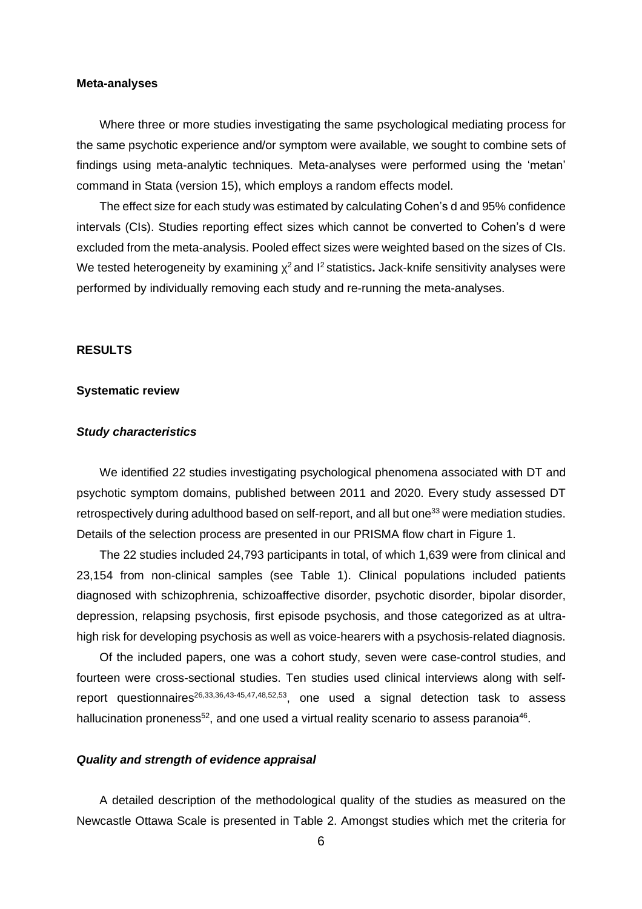## **Meta-analyses**

Where three or more studies investigating the same psychological mediating process for the same psychotic experience and/or symptom were available, we sought to combine sets of findings using meta-analytic techniques. Meta-analyses were performed using the 'metan' command in Stata (version 15), which employs a random effects model.

The effect size for each study was estimated by calculating Cohen's d and 95% confidence intervals (CIs). Studies reporting effect sizes which cannot be converted to Cohen's d were excluded from the meta-analysis. Pooled effect sizes were weighted based on the sizes of CIs. We tested heterogeneity by examining χ <sup>2</sup> and I <sup>2</sup> statistics**.** Jack-knife sensitivity analyses were performed by individually removing each study and re-running the meta-analyses.

## **RESULTS**

### **Systematic review**

## *Study characteristics*

We identified 22 studies investigating psychological phenomena associated with DT and psychotic symptom domains, published between 2011 and 2020. Every study assessed DT retrospectively during adulthood based on self-report, and all but one<sup>33</sup> were mediation studies. Details of the selection process are presented in our PRISMA flow chart in Figure 1.

The 22 studies included 24,793 participants in total, of which 1,639 were from clinical and 23,154 from non-clinical samples (see Table 1). Clinical populations included patients diagnosed with schizophrenia, schizoaffective disorder, psychotic disorder, bipolar disorder, depression, relapsing psychosis, first episode psychosis, and those categorized as at ultrahigh risk for developing psychosis as well as voice-hearers with a psychosis-related diagnosis.

Of the included papers, one was a cohort study, seven were case-control studies, and fourteen were cross-sectional studies. Ten studies used clinical interviews along with selfreport questionnaires<sup>26,33,36,43-45,47,48,52,53</sup>, one used a signal detection task to assess hallucination proneness<sup>52</sup>, and one used a virtual reality scenario to assess paranoia<sup>46</sup>.

## *Quality and strength of evidence appraisal*

A detailed description of the methodological quality of the studies as measured on the Newcastle Ottawa Scale is presented in Table 2. Amongst studies which met the criteria for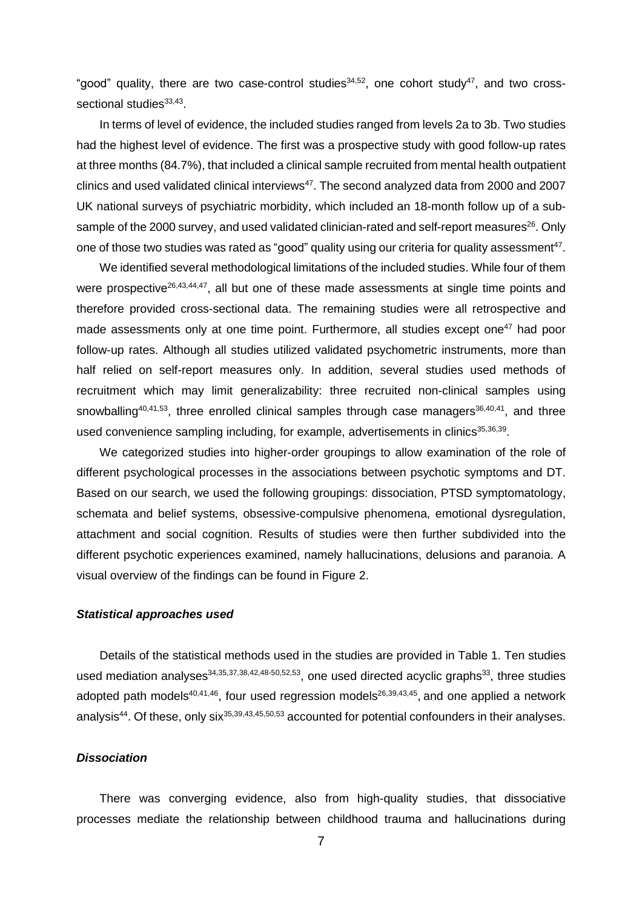"good" quality, there are two case-control studies<sup>34,52</sup>, one cohort study<sup>47</sup>, and two crosssectional studies33,43.

In terms of level of evidence, the included studies ranged from levels 2a to 3b. Two studies had the highest level of evidence. The first was a prospective study with good follow-up rates at three months (84.7%), that included a clinical sample recruited from mental health outpatient clinics and used validated clinical interviews $^{47}$ . The second analyzed data from 2000 and 2007 UK national surveys of psychiatric morbidity, which included an 18-month follow up of a subsample of the 2000 survey, and used validated clinician-rated and self-report measures<sup>26</sup>. Only one of those two studies was rated as "good" quality using our criteria for quality assessment $^{47}$ .

We identified several methodological limitations of the included studies. While four of them were prospective<sup>26,43,44,47</sup>, all but one of these made assessments at single time points and therefore provided cross-sectional data. The remaining studies were all retrospective and made assessments only at one time point. Furthermore, all studies except one<sup>47</sup> had poor follow-up rates. Although all studies utilized validated psychometric instruments, more than half relied on self-report measures only. In addition, several studies used methods of recruitment which may limit generalizability: three recruited non-clinical samples using snowballing<sup>40,41,53</sup>, three enrolled clinical samples through case managers<sup>36,40,41</sup>, and three used convenience sampling including, for example, advertisements in clinics<sup>35,36,39</sup>.

We categorized studies into higher-order groupings to allow examination of the role of different psychological processes in the associations between psychotic symptoms and DT. Based on our search, we used the following groupings: dissociation, PTSD symptomatology, schemata and belief systems, obsessive-compulsive phenomena, emotional dysregulation, attachment and social cognition. Results of studies were then further subdivided into the different psychotic experiences examined, namely hallucinations, delusions and paranoia. A visual overview of the findings can be found in Figure 2.

## *Statistical approaches used*

Details of the statistical methods used in the studies are provided in Table 1. Ten studies used mediation analyses<sup>34,35,37,38,42,48-50,52,53</sup>, one used directed acyclic graphs<sup>33</sup>, three studies adopted path models<sup>40,41,46</sup>, four used regression models<sup>26,39,43,45</sup>, and one applied a network analysis<sup>44</sup>. Of these, only six<sup>35,39,43,45,50,53</sup> accounted for potential confounders in their analyses.

## *Dissociation*

There was converging evidence, also from high-quality studies, that dissociative processes mediate the relationship between childhood trauma and hallucinations during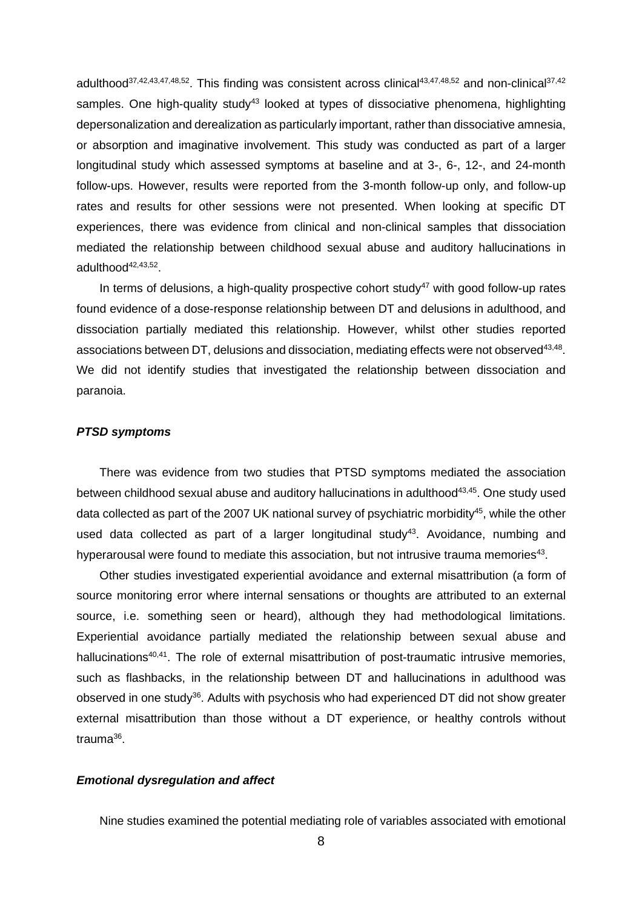adulthood<sup>37,42,43,47,48,52</sup>. This finding was consistent across clinical<sup>43,47,48,52</sup> and non-clinical<sup>37,42</sup> samples. One high-quality study<sup>43</sup> looked at types of dissociative phenomena, highlighting depersonalization and derealization as particularly important, rather than dissociative amnesia, or absorption and imaginative involvement. This study was conducted as part of a larger longitudinal study which assessed symptoms at baseline and at 3-, 6-, 12-, and 24-month follow-ups. However, results were reported from the 3-month follow-up only, and follow-up rates and results for other sessions were not presented. When looking at specific DT experiences, there was evidence from clinical and non-clinical samples that dissociation mediated the relationship between childhood sexual abuse and auditory hallucinations in adulthood<sup>42,43,52</sup>.

In terms of delusions, a high-quality prospective cohort study<sup>47</sup> with good follow-up rates found evidence of a dose-response relationship between DT and delusions in adulthood, and dissociation partially mediated this relationship. However, whilst other studies reported associations between DT, delusions and dissociation, mediating effects were not observed $^{43,48}$ . We did not identify studies that investigated the relationship between dissociation and paranoia.

## *PTSD symptoms*

There was evidence from two studies that PTSD symptoms mediated the association between childhood sexual abuse and auditory hallucinations in adulthood<sup>43,45</sup>. One study used data collected as part of the 2007 UK national survey of psychiatric morbidity<sup>45</sup>, while the other used data collected as part of a larger longitudinal study<sup>43</sup>. Avoidance, numbing and hyperarousal were found to mediate this association, but not intrusive trauma memories<sup>43</sup>.

Other studies investigated experiential avoidance and external misattribution (a form of source monitoring error where internal sensations or thoughts are attributed to an external source, i.e. something seen or heard), although they had methodological limitations. Experiential avoidance partially mediated the relationship between sexual abuse and hallucinations<sup>40,41</sup>. The role of external misattribution of post-traumatic intrusive memories, such as flashbacks, in the relationship between DT and hallucinations in adulthood was observed in one study<sup>36</sup>. Adults with psychosis who had experienced DT did not show greater external misattribution than those without a DT experience, or healthy controls without trauma<sup>36</sup>.

#### *Emotional dysregulation and affect*

Nine studies examined the potential mediating role of variables associated with emotional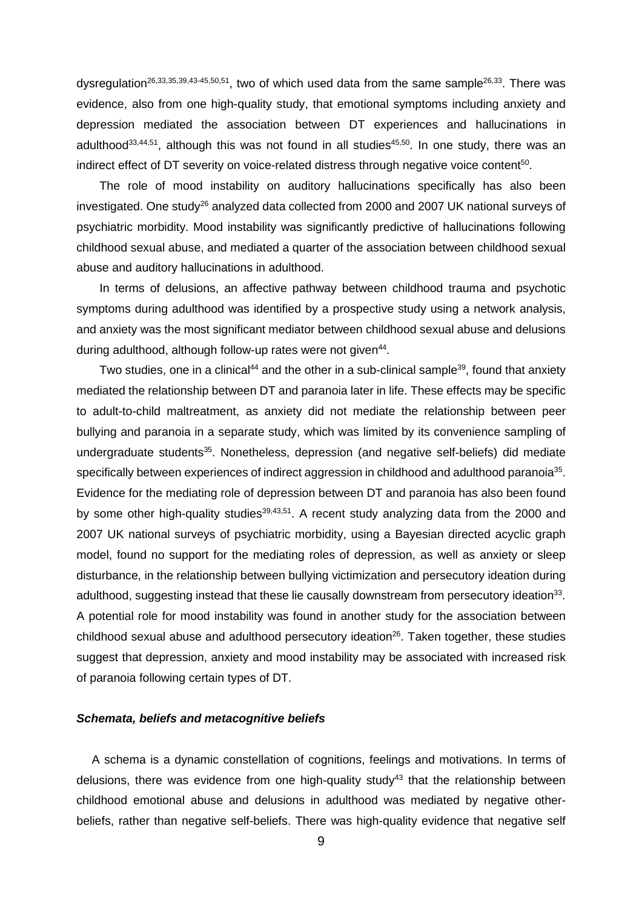dysregulation<sup>26,33,35,39,43-45,50,51</sup>, two of which used data from the same sample<sup>26,33</sup>. There was evidence, also from one high-quality study, that emotional symptoms including anxiety and depression mediated the association between DT experiences and hallucinations in adulthood<sup>33,44,51</sup>, although this was not found in all studies<sup>45,50</sup>. In one study, there was an indirect effect of DT severity on voice-related distress through negative voice content<sup>50</sup>.

The role of mood instability on auditory hallucinations specifically has also been investigated. One study<sup>26</sup> analyzed data collected from 2000 and 2007 UK national surveys of psychiatric morbidity. Mood instability was significantly predictive of hallucinations following childhood sexual abuse, and mediated a quarter of the association between childhood sexual abuse and auditory hallucinations in adulthood.

In terms of delusions, an affective pathway between childhood trauma and psychotic symptoms during adulthood was identified by a prospective study using a network analysis, and anxiety was the most significant mediator between childhood sexual abuse and delusions during adulthood, although follow-up rates were not given<sup>44</sup>.

Two studies, one in a clinical<sup>44</sup> and the other in a sub-clinical sample<sup>39</sup>, found that anxiety mediated the relationship between DT and paranoia later in life. These effects may be specific to adult-to-child maltreatment, as anxiety did not mediate the relationship between peer bullying and paranoia in a separate study, which was limited by its convenience sampling of undergraduate students<sup>35</sup>. Nonetheless, depression (and negative self-beliefs) did mediate specifically between experiences of indirect aggression in childhood and adulthood paranoia $^{35}$ . Evidence for the mediating role of depression between DT and paranoia has also been found by some other high-quality studies<sup>39,43,51</sup>. A recent study analyzing data from the 2000 and 2007 UK national surveys of psychiatric morbidity, using a Bayesian directed acyclic graph model, found no support for the mediating roles of depression, as well as anxiety or sleep disturbance, in the relationship between bullying victimization and persecutory ideation during adulthood, suggesting instead that these lie causally downstream from persecutory ideation<sup>33</sup>. A potential role for mood instability was found in another study for the association between childhood sexual abuse and adulthood persecutory ideation<sup>26</sup>. Taken together, these studies suggest that depression, anxiety and mood instability may be associated with increased risk of paranoia following certain types of DT.

## *Schemata, beliefs and metacognitive beliefs*

A schema is a dynamic constellation of cognitions, feelings and motivations. In terms of delusions, there was evidence from one high-quality study<sup>43</sup> that the relationship between childhood emotional abuse and delusions in adulthood was mediated by negative otherbeliefs, rather than negative self-beliefs. There was high-quality evidence that negative self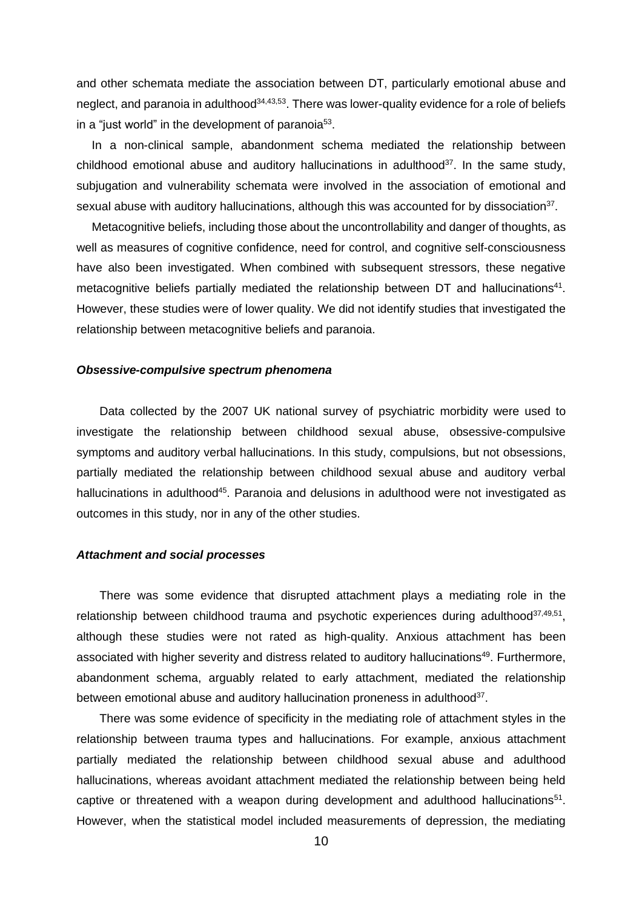and other schemata mediate the association between DT, particularly emotional abuse and neglect, and paranoia in adulthood<sup>34,43,53</sup>. There was lower-quality evidence for a role of beliefs in a "just world" in the development of paranoia $^{53}$ .

In a non-clinical sample, abandonment schema mediated the relationship between childhood emotional abuse and auditory hallucinations in adulthood<sup>37</sup>. In the same study, subjugation and vulnerability schemata were involved in the association of emotional and sexual abuse with auditory hallucinations, although this was accounted for by dissociation<sup>37</sup>.

Metacognitive beliefs, including those about the uncontrollability and danger of thoughts, as well as measures of cognitive confidence, need for control, and cognitive self-consciousness have also been investigated. When combined with subsequent stressors, these negative metacognitive beliefs partially mediated the relationship between DT and hallucinations<sup>41</sup>. However, these studies were of lower quality. We did not identify studies that investigated the relationship between metacognitive beliefs and paranoia.

### *Obsessive-compulsive spectrum phenomena*

Data collected by the 2007 UK national survey of psychiatric morbidity were used to investigate the relationship between childhood sexual abuse, obsessive-compulsive symptoms and auditory verbal hallucinations. In this study, compulsions, but not obsessions, partially mediated the relationship between childhood sexual abuse and auditory verbal hallucinations in adulthood<sup>45</sup>. Paranoia and delusions in adulthood were not investigated as outcomes in this study, nor in any of the other studies.

#### *Attachment and social processes*

There was some evidence that disrupted attachment plays a mediating role in the relationship between childhood trauma and psychotic experiences during adulthood<sup>37,49,51</sup>, although these studies were not rated as high-quality. Anxious attachment has been associated with higher severity and distress related to auditory hallucinations<sup>49</sup>. Furthermore, abandonment schema, arguably related to early attachment, mediated the relationship between emotional abuse and auditory hallucination proneness in adulthood<sup>37</sup>.

There was some evidence of specificity in the mediating role of attachment styles in the relationship between trauma types and hallucinations. For example, anxious attachment partially mediated the relationship between childhood sexual abuse and adulthood hallucinations, whereas avoidant attachment mediated the relationship between being held captive or threatened with a weapon during development and adulthood hallucinations $51$ . However, when the statistical model included measurements of depression, the mediating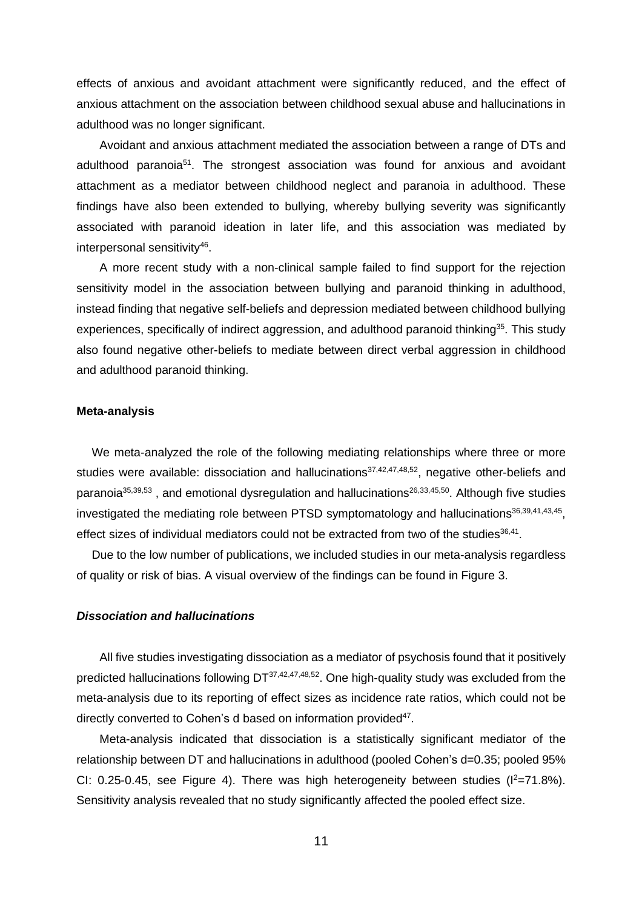effects of anxious and avoidant attachment were significantly reduced, and the effect of anxious attachment on the association between childhood sexual abuse and hallucinations in adulthood was no longer significant.

Avoidant and anxious attachment mediated the association between a range of DTs and adulthood paranoia<sup>51</sup>. The strongest association was found for anxious and avoidant attachment as a mediator between childhood neglect and paranoia in adulthood. These findings have also been extended to bullying, whereby bullying severity was significantly associated with paranoid ideation in later life, and this association was mediated by interpersonal sensitivity<sup>46</sup>.

A more recent study with a non-clinical sample failed to find support for the rejection sensitivity model in the association between bullying and paranoid thinking in adulthood, instead finding that negative self-beliefs and depression mediated between childhood bullying experiences, specifically of indirect aggression, and adulthood paranoid thinking<sup>35</sup>. This study also found negative other-beliefs to mediate between direct verbal aggression in childhood and adulthood paranoid thinking.

#### **Meta-analysis**

We meta-analyzed the role of the following mediating relationships where three or more studies were available: dissociation and hallucinations<sup>37,42,47,48,52</sup>, negative other-beliefs and paranoia<sup>35,39,53</sup>, and emotional dysregulation and hallucinations<sup>26,33,45,50</sup>. Although five studies investigated the mediating role between PTSD symptomatology and hallucinations<sup>36,39,41,43,45</sup>, effect sizes of individual mediators could not be extracted from two of the studies $36,41$ .

Due to the low number of publications, we included studies in our meta-analysis regardless of quality or risk of bias. A visual overview of the findings can be found in Figure 3.

#### *Dissociation and hallucinations*

All five studies investigating dissociation as a mediator of psychosis found that it positively predicted hallucinations following DT<sup>37,42,47,48,52</sup>. One high-quality study was excluded from the meta-analysis due to its reporting of effect sizes as incidence rate ratios, which could not be directly converted to Cohen's d based on information provided<sup>47</sup>.

Meta-analysis indicated that dissociation is a statistically significant mediator of the relationship between DT and hallucinations in adulthood (pooled Cohen's d=0.35; pooled 95% CI: 0.25-0.45, see Figure 4). There was high heterogeneity between studies ( $I^2$ =71.8%). Sensitivity analysis revealed that no study significantly affected the pooled effect size.

11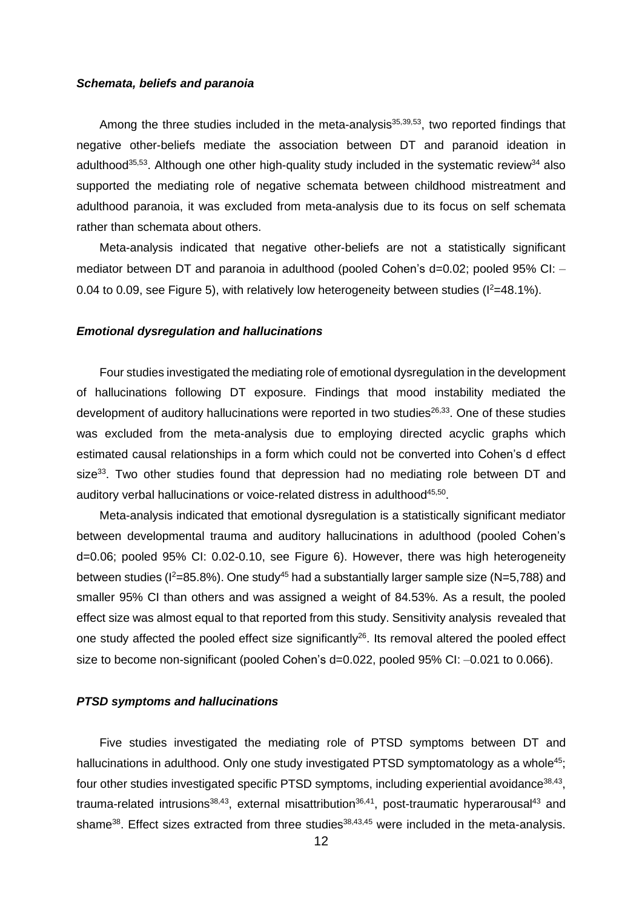#### *Schemata, beliefs and paranoia*

Among the three studies included in the meta-analysis<sup>35,39,53</sup>, two reported findings that negative other-beliefs mediate the association between DT and paranoid ideation in adulthood<sup>35,53</sup>. Although one other high-quality study included in the systematic review<sup>34</sup> also supported the mediating role of negative schemata between childhood mistreatment and adulthood paranoia, it was excluded from meta-analysis due to its focus on self schemata rather than schemata about others.

Meta-analysis indicated that negative other-beliefs are not a statistically significant mediator between DT and paranoia in adulthood (pooled Cohen's d=0.02; pooled 95% CI: -0.04 to 0.09, see Figure 5), with relatively low heterogeneity between studies ( $l^2=48.1\%$ ).

#### *Emotional dysregulation and hallucinations*

Four studies investigated the mediating role of emotional dysregulation in the development of hallucinations following DT exposure. Findings that mood instability mediated the development of auditory hallucinations were reported in two studies<sup>26,33</sup>. One of these studies was excluded from the meta-analysis due to employing directed acyclic graphs which estimated causal relationships in a form which could not be converted into Cohen's d effect size<sup>33</sup>. Two other studies found that depression had no mediating role between DT and auditory verbal hallucinations or voice-related distress in adulthood<sup>45,50</sup>.

Meta-analysis indicated that emotional dysregulation is a statistically significant mediator between developmental trauma and auditory hallucinations in adulthood (pooled Cohen's d=0.06; pooled 95% CI: 0.02-0.10, see Figure 6). However, there was high heterogeneity between studies ( $1^2$ =85.8%). One study<sup>45</sup> had a substantially larger sample size (N=5,788) and smaller 95% CI than others and was assigned a weight of 84.53%. As a result, the pooled effect size was almost equal to that reported from this study. Sensitivity analysis revealed that one study affected the pooled effect size significantly<sup>26</sup>. Its removal altered the pooled effect size to become non-significant (pooled Cohen's d=0.022, pooled 95% CI: –0.021 to 0.066).

#### *PTSD symptoms and hallucinations*

Five studies investigated the mediating role of PTSD symptoms between DT and hallucinations in adulthood. Only one study investigated PTSD symptomatology as a whole<sup>45</sup>; four other studies investigated specific PTSD symptoms, including experiential avoidance $^{38,43}$ , trauma-related intrusions<sup>38,43</sup>, external misattribution<sup>36,41</sup>, post-traumatic hyperarousal<sup>43</sup> and shame<sup>38</sup>. Effect sizes extracted from three studies<sup>38,43,45</sup> were included in the meta-analysis.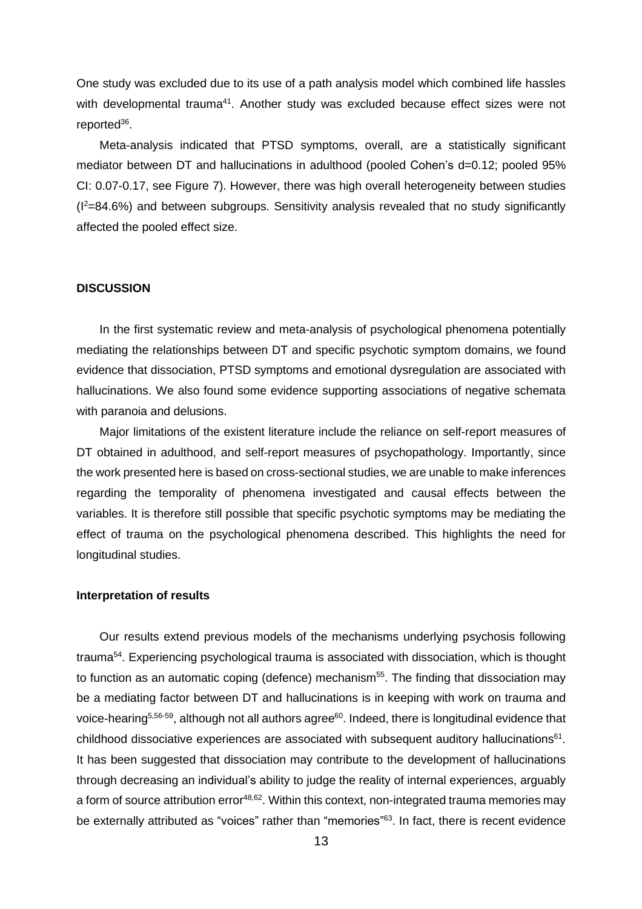One study was excluded due to its use of a path analysis model which combined life hassles with developmental trauma<sup>41</sup>. Another study was excluded because effect sizes were not reported<sup>36</sup>.

Meta-analysis indicated that PTSD symptoms, overall, are a statistically significant mediator between DT and hallucinations in adulthood (pooled Cohen's d=0.12; pooled 95% CI: 0.07-0.17, see Figure 7). However, there was high overall heterogeneity between studies  $(1^2=84.6%)$  and between subgroups. Sensitivity analysis revealed that no study significantly affected the pooled effect size.

#### **DISCUSSION**

In the first systematic review and meta-analysis of psychological phenomena potentially mediating the relationships between DT and specific psychotic symptom domains, we found evidence that dissociation, PTSD symptoms and emotional dysregulation are associated with hallucinations. We also found some evidence supporting associations of negative schemata with paranoia and delusions.

Major limitations of the existent literature include the reliance on self-report measures of DT obtained in adulthood, and self-report measures of psychopathology. Importantly, since the work presented here is based on cross-sectional studies, we are unable to make inferences regarding the temporality of phenomena investigated and causal effects between the variables. It is therefore still possible that specific psychotic symptoms may be mediating the effect of trauma on the psychological phenomena described. This highlights the need for longitudinal studies.

#### **Interpretation of results**

Our results extend previous models of the mechanisms underlying psychosis following trauma<sup>54</sup>. Experiencing psychological trauma is associated with dissociation, which is thought to function as an automatic coping (defence) mechanism<sup>55</sup>. The finding that dissociation may be a mediating factor between DT and hallucinations is in keeping with work on trauma and voice-hearing<sup>5,56-59</sup>, although not all authors agree<sup>60</sup>. Indeed, there is longitudinal evidence that childhood dissociative experiences are associated with subsequent auditory hallucinations $61$ . It has been suggested that dissociation may contribute to the development of hallucinations through decreasing an individual's ability to judge the reality of internal experiences, arguably a form of source attribution error<sup>48,62</sup>. Within this context, non-integrated trauma memories may be externally attributed as "voices" rather than "memories"<sup>63</sup>. In fact, there is recent evidence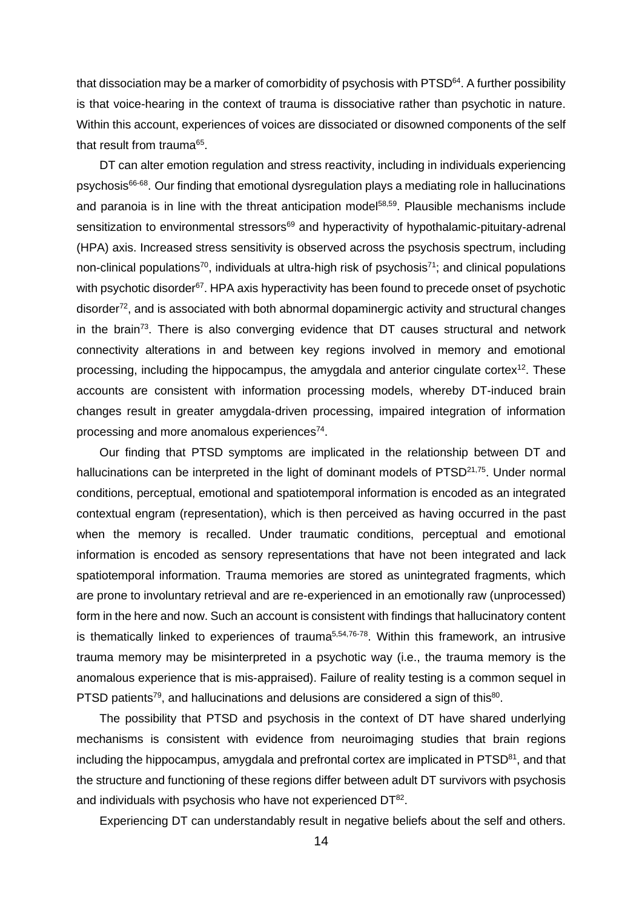that dissociation may be a marker of comorbidity of psychosis with  $\mathsf{PTSD}^\mathsf{64}$ . A further possibility is that voice-hearing in the context of trauma is dissociative rather than psychotic in nature. Within this account, experiences of voices are dissociated or disowned components of the self that result from trauma $^{\rm 65}$ .

DT can alter emotion regulation and stress reactivity, including in individuals experiencing psychosis<sup>66-68</sup>. Our finding that emotional dysregulation plays a mediating role in hallucinations and paranoia is in line with the threat anticipation model<sup>58,59</sup>. Plausible mechanisms include sensitization to environmental stressors<sup>69</sup> and hyperactivity of hypothalamic-pituitary-adrenal (HPA) axis. Increased stress sensitivity is observed across the psychosis spectrum, including non-clinical populations $^{70}$ , individuals at ultra-high risk of psychosis $^{71}$ ; and clinical populations with psychotic disorder<sup>67</sup>. HPA axis hyperactivity has been found to precede onset of psychotic disorder<sup>72</sup>, and is associated with both abnormal dopaminergic activity and structural changes in the brain<sup>73</sup>. There is also converging evidence that DT causes structural and network connectivity alterations in and between key regions involved in memory and emotional processing, including the hippocampus, the amygdala and anterior cingulate cortex<sup>12</sup>. These accounts are consistent with information processing models, whereby DT-induced brain changes result in greater amygdala-driven processing, impaired integration of information processing and more anomalous experiences<sup>74</sup>.

Our finding that PTSD symptoms are implicated in the relationship between DT and hallucinations can be interpreted in the light of dominant models of PTSD<sup>21,75</sup>. Under normal conditions, perceptual, emotional and spatiotemporal information is encoded as an integrated contextual engram (representation), which is then perceived as having occurred in the past when the memory is recalled. Under traumatic conditions, perceptual and emotional information is encoded as sensory representations that have not been integrated and lack spatiotemporal information. Trauma memories are stored as unintegrated fragments, which are prone to involuntary retrieval and are re-experienced in an emotionally raw (unprocessed) form in the here and now. Such an account is consistent with findings that hallucinatory content is thematically linked to experiences of trauma<sup>5,54,76-78</sup>. Within this framework, an intrusive trauma memory may be misinterpreted in a psychotic way (i.e., the trauma memory is the anomalous experience that is mis-appraised). Failure of reality testing is a common sequel in PTSD patients<sup>79</sup>, and hallucinations and delusions are considered a sign of this<sup>80</sup>.

The possibility that PTSD and psychosis in the context of DT have shared underlying mechanisms is consistent with evidence from neuroimaging studies that brain regions including the hippocampus, amygdala and prefrontal cortex are implicated in  $\mathsf{PTSD}^{81}$ , and that the structure and functioning of these regions differ between adult DT survivors with psychosis and individuals with psychosis who have not experienced  $DT^{82}$ .

Experiencing DT can understandably result in negative beliefs about the self and others.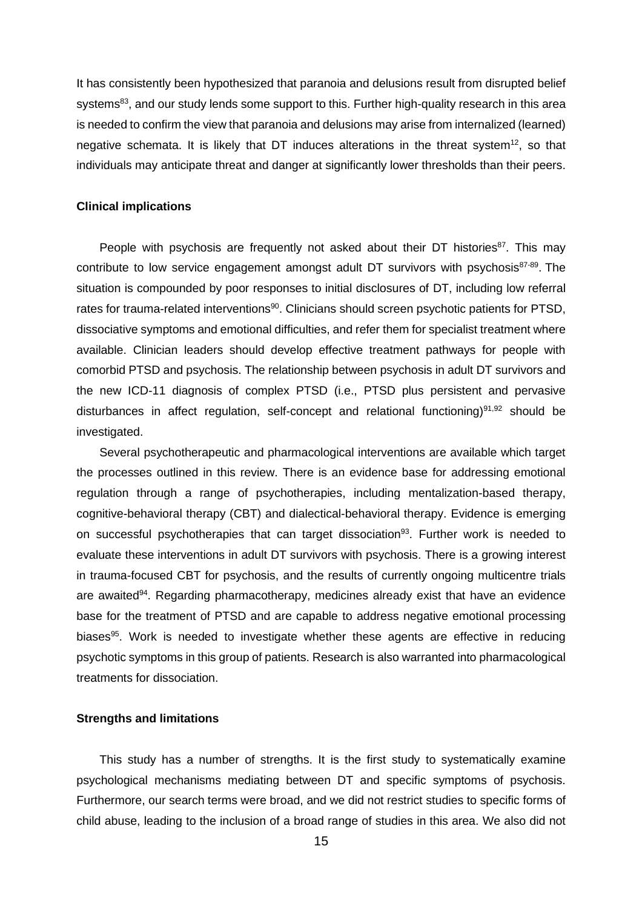It has consistently been hypothesized that paranoia and delusions result from disrupted belief systems<sup>83</sup>, and our study lends some support to this. Further high-quality research in this area is needed to confirm the view that paranoia and delusions may arise from internalized (learned) negative schemata. It is likely that DT induces alterations in the threat system<sup>12</sup>, so that individuals may anticipate threat and danger at significantly lower thresholds than their peers.

#### **Clinical implications**

People with psychosis are frequently not asked about their DT histories<sup>87</sup>. This may contribute to low service engagement amongst adult DT survivors with psychosis<sup>87-89</sup>. The situation is compounded by poor responses to initial disclosures of DT, including low referral rates for trauma-related interventions<sup>90</sup>. Clinicians should screen psychotic patients for PTSD, dissociative symptoms and emotional difficulties, and refer them for specialist treatment where available. Clinician leaders should develop effective treatment pathways for people with comorbid PTSD and psychosis. The relationship between psychosis in adult DT survivors and the new ICD-11 diagnosis of complex PTSD (i.e., PTSD plus persistent and pervasive disturbances in affect regulation, self-concept and relational functioning)<sup>91,92</sup> should be investigated.

Several psychotherapeutic and pharmacological interventions are available which target the processes outlined in this review. There is an evidence base for addressing emotional regulation through a range of psychotherapies, including mentalization-based therapy, cognitive-behavioral therapy (CBT) and dialectical-behavioral therapy. Evidence is emerging on successful psychotherapies that can target dissociation<sup>93</sup>. Further work is needed to evaluate these interventions in adult DT survivors with psychosis. There is a growing interest in trauma-focused CBT for psychosis, and the results of currently ongoing multicentre trials are awaited<sup>94</sup>. Regarding pharmacotherapy, medicines already exist that have an evidence base for the treatment of PTSD and are capable to address negative emotional processing biases<sup>95</sup>. Work is needed to investigate whether these agents are effective in reducing psychotic symptoms in this group of patients. Research is also warranted into pharmacological treatments for dissociation.

## **Strengths and limitations**

This study has a number of strengths. It is the first study to systematically examine psychological mechanisms mediating between DT and specific symptoms of psychosis. Furthermore, our search terms were broad, and we did not restrict studies to specific forms of child abuse, leading to the inclusion of a broad range of studies in this area. We also did not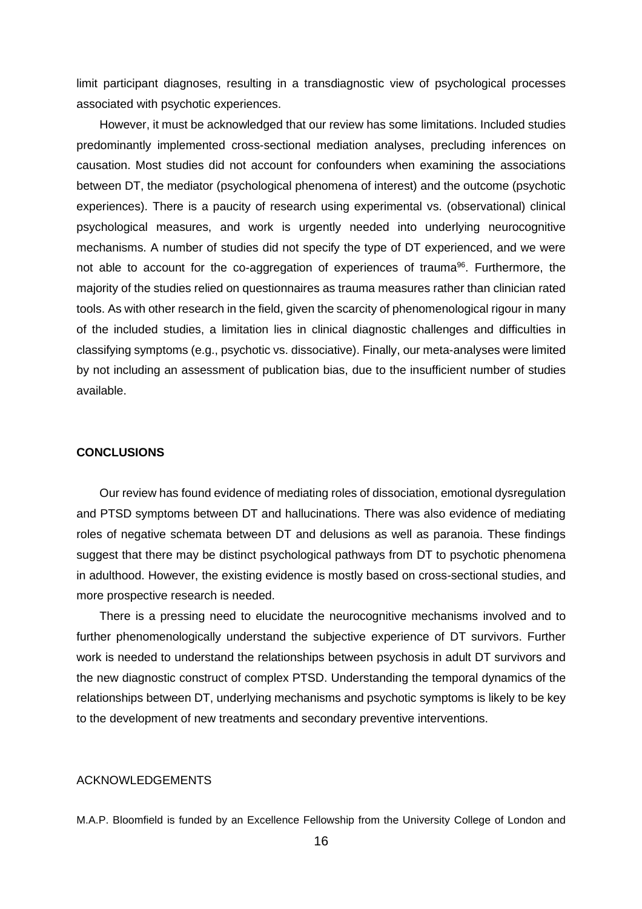limit participant diagnoses, resulting in a transdiagnostic view of psychological processes associated with psychotic experiences.

However, it must be acknowledged that our review has some limitations. Included studies predominantly implemented cross-sectional mediation analyses, precluding inferences on causation. Most studies did not account for confounders when examining the associations between DT, the mediator (psychological phenomena of interest) and the outcome (psychotic experiences). There is a paucity of research using experimental vs. (observational) clinical psychological measures, and work is urgently needed into underlying neurocognitive mechanisms. A number of studies did not specify the type of DT experienced, and we were not able to account for the co-aggregation of experiences of trauma<sup>96</sup>. Furthermore, the majority of the studies relied on questionnaires as trauma measures rather than clinician rated tools. As with other research in the field, given the scarcity of phenomenological rigour in many of the included studies, a limitation lies in clinical diagnostic challenges and difficulties in classifying symptoms (e.g., psychotic vs. dissociative). Finally, our meta-analyses were limited by not including an assessment of publication bias, due to the insufficient number of studies available.

#### **CONCLUSIONS**

Our review has found evidence of mediating roles of dissociation, emotional dysregulation and PTSD symptoms between DT and hallucinations. There was also evidence of mediating roles of negative schemata between DT and delusions as well as paranoia. These findings suggest that there may be distinct psychological pathways from DT to psychotic phenomena in adulthood. However, the existing evidence is mostly based on cross-sectional studies, and more prospective research is needed.

There is a pressing need to elucidate the neurocognitive mechanisms involved and to further phenomenologically understand the subjective experience of DT survivors. Further work is needed to understand the relationships between psychosis in adult DT survivors and the new diagnostic construct of complex PTSD. Understanding the temporal dynamics of the relationships between DT, underlying mechanisms and psychotic symptoms is likely to be key to the development of new treatments and secondary preventive interventions.

## ACKNOWLEDGEMENTS

M.A.P. Bloomfield is funded by an Excellence Fellowship from the University College of London and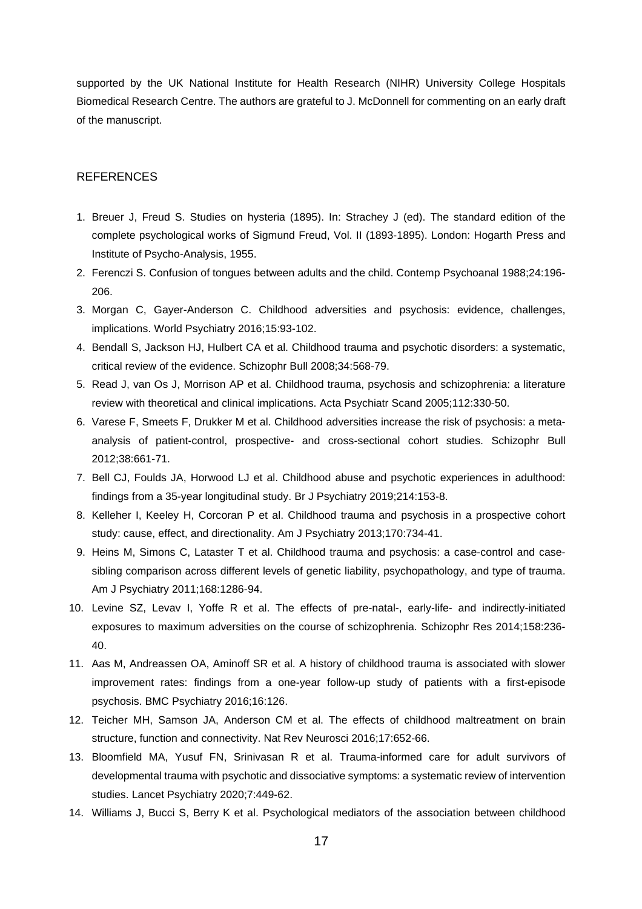supported by the UK National Institute for Health Research (NIHR) University College Hospitals Biomedical Research Centre. The authors are grateful to J. McDonnell for commenting on an early draft of the manuscript.

## **REFERENCES**

- 1. Breuer J, Freud S. Studies on hysteria (1895). In: Strachey J (ed). The standard edition of the complete psychological works of Sigmund Freud, Vol. II (1893-1895). London: Hogarth Press and Institute of Psycho-Analysis, 1955.
- 2. Ferenczi S. Confusion of tongues between adults and the child. Contemp Psychoanal 1988;24:196- 206.
- 3. Morgan C, Gayer-Anderson C. Childhood adversities and psychosis: evidence, challenges, implications. World Psychiatry 2016;15:93-102.
- 4. Bendall S, Jackson HJ, Hulbert CA et al. Childhood trauma and psychotic disorders: a systematic, critical review of the evidence. Schizophr Bull 2008;34:568-79.
- 5. Read J, van Os J, Morrison AP et al. Childhood trauma, psychosis and schizophrenia: a literature review with theoretical and clinical implications. Acta Psychiatr Scand 2005;112:330-50.
- 6. Varese F, Smeets F, Drukker M et al. Childhood adversities increase the risk of psychosis: a metaanalysis of patient-control, prospective- and cross-sectional cohort studies. Schizophr Bull 2012;38:661-71.
- 7. Bell CJ, Foulds JA, Horwood LJ et al. Childhood abuse and psychotic experiences in adulthood: findings from a 35-year longitudinal study. Br J Psychiatry 2019;214:153-8.
- 8. Kelleher I, Keeley H, Corcoran P et al. Childhood trauma and psychosis in a prospective cohort study: cause, effect, and directionality. Am J Psychiatry 2013;170:734-41.
- 9. Heins M, Simons C, Lataster T et al. Childhood trauma and psychosis: a case-control and casesibling comparison across different levels of genetic liability, psychopathology, and type of trauma. Am J Psychiatry 2011;168:1286-94.
- 10. Levine SZ, Levav I, Yoffe R et al. The effects of pre-natal-, early-life- and indirectly-initiated exposures to maximum adversities on the course of schizophrenia. Schizophr Res 2014;158:236- 40.
- 11. Aas M, Andreassen OA, Aminoff SR et al. A history of childhood trauma is associated with slower improvement rates: findings from a one-year follow-up study of patients with a first-episode psychosis. BMC Psychiatry 2016;16:126.
- 12. Teicher MH, Samson JA, Anderson CM et al. The effects of childhood maltreatment on brain structure, function and connectivity. Nat Rev Neurosci 2016;17:652-66.
- 13. Bloomfield MA, Yusuf FN, Srinivasan R et al. Trauma-informed care for adult survivors of developmental trauma with psychotic and dissociative symptoms: a systematic review of intervention studies. Lancet Psychiatry 2020;7:449-62.
- 14. Williams J, Bucci S, Berry K et al. Psychological mediators of the association between childhood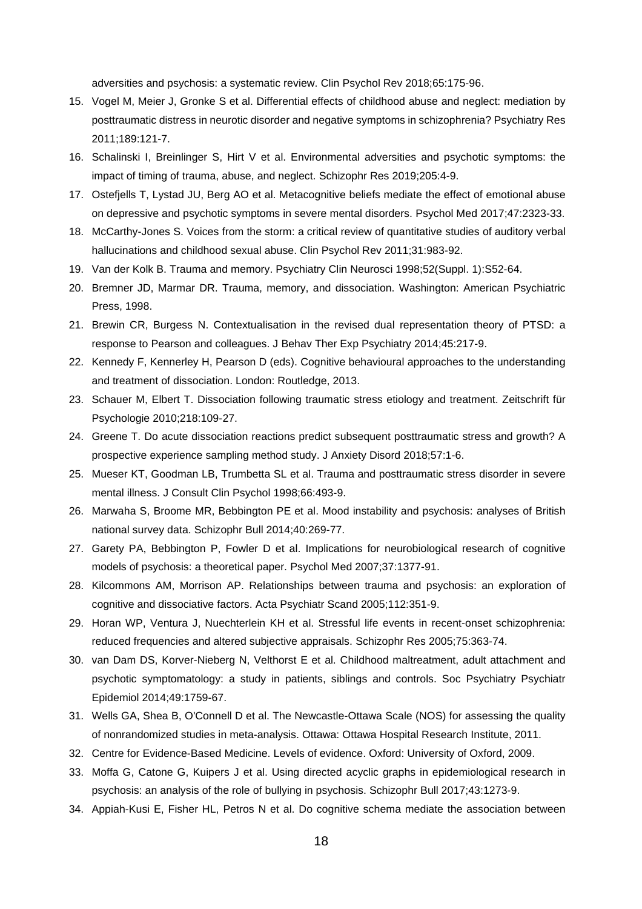adversities and psychosis: a systematic review. Clin Psychol Rev 2018;65:175-96.

- 15. Vogel M, Meier J, Gronke S et al. Differential effects of childhood abuse and neglect: mediation by posttraumatic distress in neurotic disorder and negative symptoms in schizophrenia? Psychiatry Res 2011;189:121-7.
- 16. Schalinski I, Breinlinger S, Hirt V et al. Environmental adversities and psychotic symptoms: the impact of timing of trauma, abuse, and neglect. Schizophr Res 2019;205:4-9.
- 17. Ostefjells T, Lystad JU, Berg AO et al. Metacognitive beliefs mediate the effect of emotional abuse on depressive and psychotic symptoms in severe mental disorders. Psychol Med 2017;47:2323-33.
- 18. McCarthy-Jones S. Voices from the storm: a critical review of quantitative studies of auditory verbal hallucinations and childhood sexual abuse. Clin Psychol Rev 2011;31:983-92.
- 19. Van der Kolk B. Trauma and memory. Psychiatry Clin Neurosci 1998;52(Suppl. 1):S52-64.
- 20. Bremner JD, Marmar DR. Trauma, memory, and dissociation. Washington: American Psychiatric Press, 1998.
- 21. Brewin CR, Burgess N. Contextualisation in the revised dual representation theory of PTSD: a response to Pearson and colleagues. J Behav Ther Exp Psychiatry 2014;45:217-9.
- 22. Kennedy F, Kennerley H, Pearson D (eds). Cognitive behavioural approaches to the understanding and treatment of dissociation. London: Routledge, 2013.
- 23. Schauer M, Elbert T. Dissociation following traumatic stress etiology and treatment. Zeitschrift für Psychologie 2010;218:109-27.
- 24. Greene T. Do acute dissociation reactions predict subsequent posttraumatic stress and growth? A prospective experience sampling method study. J Anxiety Disord 2018;57:1-6.
- 25. Mueser KT, Goodman LB, Trumbetta SL et al. Trauma and posttraumatic stress disorder in severe mental illness. J Consult Clin Psychol 1998;66:493-9.
- 26. Marwaha S, Broome MR, Bebbington PE et al. Mood instability and psychosis: analyses of British national survey data. Schizophr Bull 2014;40:269-77.
- 27. Garety PA, Bebbington P, Fowler D et al. Implications for neurobiological research of cognitive models of psychosis: a theoretical paper. Psychol Med 2007;37:1377-91.
- 28. Kilcommons AM, Morrison AP. Relationships between trauma and psychosis: an exploration of cognitive and dissociative factors. Acta Psychiatr Scand 2005;112:351-9.
- 29. Horan WP, Ventura J, Nuechterlein KH et al. Stressful life events in recent-onset schizophrenia: reduced frequencies and altered subjective appraisals. Schizophr Res 2005;75:363-74.
- 30. van Dam DS, Korver-Nieberg N, Velthorst E et al. Childhood maltreatment, adult attachment and psychotic symptomatology: a study in patients, siblings and controls. Soc Psychiatry Psychiatr Epidemiol 2014;49:1759-67.
- 31. Wells GA, Shea B, O'Connell D et al. The Newcastle-Ottawa Scale (NOS) for assessing the quality of nonrandomized studies in meta-analysis. Ottawa: Ottawa Hospital Research Institute, 2011.
- 32. Centre for Evidence-Based Medicine. Levels of evidence. Oxford: University of Oxford, 2009.
- 33. Moffa G, Catone G, Kuipers J et al. Using directed acyclic graphs in epidemiological research in psychosis: an analysis of the role of bullying in psychosis. Schizophr Bull 2017;43:1273-9.
- 34. Appiah-Kusi E, Fisher HL, Petros N et al. Do cognitive schema mediate the association between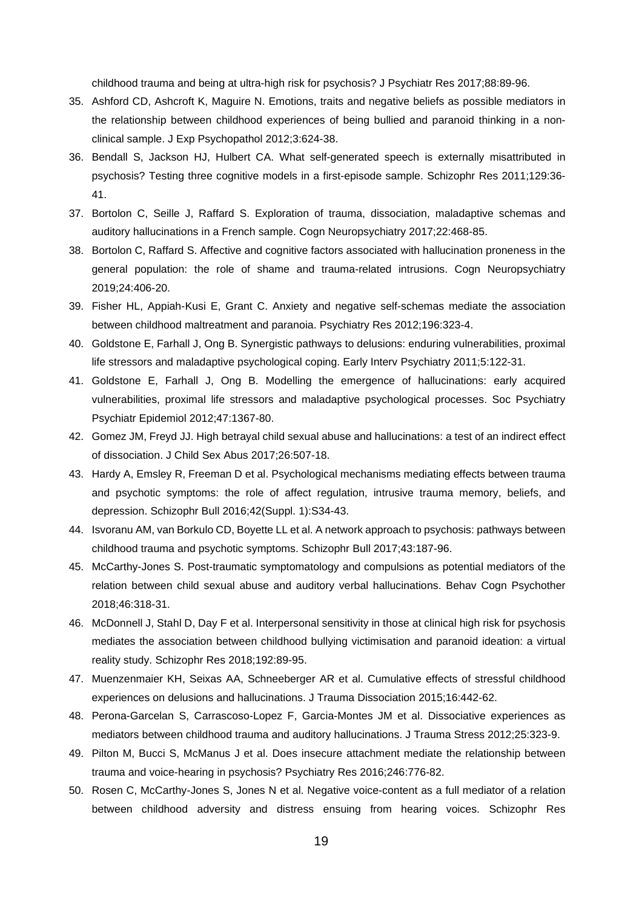childhood trauma and being at ultra-high risk for psychosis? J Psychiatr Res 2017;88:89-96.

- 35. Ashford CD, Ashcroft K, Maguire N. Emotions, traits and negative beliefs as possible mediators in the relationship between childhood experiences of being bullied and paranoid thinking in a nonclinical sample. J Exp Psychopathol 2012;3:624-38.
- 36. Bendall S, Jackson HJ, Hulbert CA. What self-generated speech is externally misattributed in psychosis? Testing three cognitive models in a first-episode sample. Schizophr Res 2011;129:36- 41.
- 37. Bortolon C, Seille J, Raffard S. Exploration of trauma, dissociation, maladaptive schemas and auditory hallucinations in a French sample. Cogn Neuropsychiatry 2017;22:468-85.
- 38. Bortolon C, Raffard S. Affective and cognitive factors associated with hallucination proneness in the general population: the role of shame and trauma-related intrusions. Cogn Neuropsychiatry 2019;24:406-20.
- 39. Fisher HL, Appiah-Kusi E, Grant C. Anxiety and negative self-schemas mediate the association between childhood maltreatment and paranoia. Psychiatry Res 2012;196:323-4.
- 40. Goldstone E, Farhall J, Ong B. Synergistic pathways to delusions: enduring vulnerabilities, proximal life stressors and maladaptive psychological coping. Early Interv Psychiatry 2011;5:122-31.
- 41. Goldstone E, Farhall J, Ong B. Modelling the emergence of hallucinations: early acquired vulnerabilities, proximal life stressors and maladaptive psychological processes. Soc Psychiatry Psychiatr Epidemiol 2012;47:1367-80.
- 42. Gomez JM, Freyd JJ. High betrayal child sexual abuse and hallucinations: a test of an indirect effect of dissociation. J Child Sex Abus 2017;26:507-18.
- 43. Hardy A, Emsley R, Freeman D et al. Psychological mechanisms mediating effects between trauma and psychotic symptoms: the role of affect regulation, intrusive trauma memory, beliefs, and depression. Schizophr Bull 2016;42(Suppl. 1):S34-43.
- 44. Isvoranu AM, van Borkulo CD, Boyette LL et al. A network approach to psychosis: pathways between childhood trauma and psychotic symptoms. Schizophr Bull 2017;43:187-96.
- 45. McCarthy-Jones S. Post-traumatic symptomatology and compulsions as potential mediators of the relation between child sexual abuse and auditory verbal hallucinations. Behav Cogn Psychother 2018;46:318-31.
- 46. McDonnell J, Stahl D, Day F et al. Interpersonal sensitivity in those at clinical high risk for psychosis mediates the association between childhood bullying victimisation and paranoid ideation: a virtual reality study. Schizophr Res 2018;192:89-95.
- 47. Muenzenmaier KH, Seixas AA, Schneeberger AR et al. Cumulative effects of stressful childhood experiences on delusions and hallucinations. J Trauma Dissociation 2015;16:442-62.
- 48. Perona-Garcelan S, Carrascoso-Lopez F, Garcia-Montes JM et al. Dissociative experiences as mediators between childhood trauma and auditory hallucinations. J Trauma Stress 2012;25:323-9.
- 49. Pilton M, Bucci S, McManus J et al. Does insecure attachment mediate the relationship between trauma and voice-hearing in psychosis? Psychiatry Res 2016;246:776-82.
- 50. Rosen C, McCarthy-Jones S, Jones N et al. Negative voice-content as a full mediator of a relation between childhood adversity and distress ensuing from hearing voices. Schizophr Res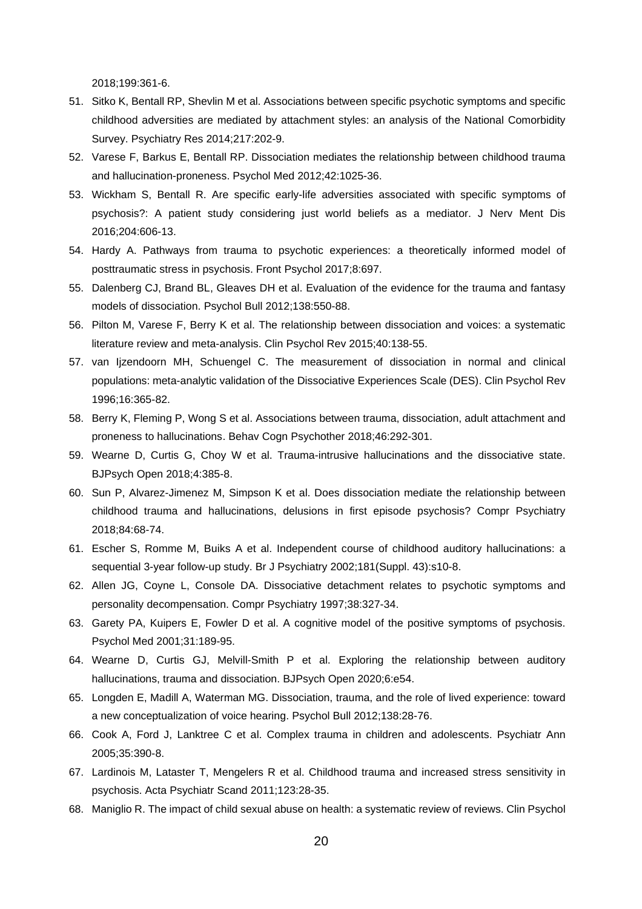2018;199:361-6.

- 51. Sitko K, Bentall RP, Shevlin M et al. Associations between specific psychotic symptoms and specific childhood adversities are mediated by attachment styles: an analysis of the National Comorbidity Survey. Psychiatry Res 2014;217:202-9.
- 52. Varese F, Barkus E, Bentall RP. Dissociation mediates the relationship between childhood trauma and hallucination-proneness. Psychol Med 2012;42:1025-36.
- 53. Wickham S, Bentall R. Are specific early-life adversities associated with specific symptoms of psychosis?: A patient study considering just world beliefs as a mediator. J Nerv Ment Dis 2016;204:606-13.
- 54. Hardy A. Pathways from trauma to psychotic experiences: a theoretically informed model of posttraumatic stress in psychosis. Front Psychol 2017;8:697.
- 55. Dalenberg CJ, Brand BL, Gleaves DH et al. Evaluation of the evidence for the trauma and fantasy models of dissociation. Psychol Bull 2012;138:550-88.
- 56. Pilton M, Varese F, Berry K et al. The relationship between dissociation and voices: a systematic literature review and meta-analysis. Clin Psychol Rev 2015;40:138-55.
- 57. van Ijzendoorn MH, Schuengel C. The measurement of dissociation in normal and clinical populations: meta-analytic validation of the Dissociative Experiences Scale (DES). Clin Psychol Rev 1996;16:365-82.
- 58. Berry K, Fleming P, Wong S et al. Associations between trauma, dissociation, adult attachment and proneness to hallucinations. Behav Cogn Psychother 2018;46:292-301.
- 59. Wearne D, Curtis G, Choy W et al. Trauma-intrusive hallucinations and the dissociative state. BJPsych Open 2018;4:385-8.
- 60. Sun P, Alvarez-Jimenez M, Simpson K et al. Does dissociation mediate the relationship between childhood trauma and hallucinations, delusions in first episode psychosis? Compr Psychiatry 2018;84:68-74.
- 61. Escher S, Romme M, Buiks A et al. Independent course of childhood auditory hallucinations: a sequential 3-year follow-up study. Br J Psychiatry 2002;181(Suppl. 43):s10-8.
- 62. Allen JG, Coyne L, Console DA. Dissociative detachment relates to psychotic symptoms and personality decompensation. Compr Psychiatry 1997;38:327-34.
- 63. Garety PA, Kuipers E, Fowler D et al. A cognitive model of the positive symptoms of psychosis. Psychol Med 2001;31:189-95.
- 64. Wearne D, Curtis GJ, Melvill-Smith P et al. Exploring the relationship between auditory hallucinations, trauma and dissociation. BJPsych Open 2020;6:e54.
- 65. Longden E, Madill A, Waterman MG. Dissociation, trauma, and the role of lived experience: toward a new conceptualization of voice hearing. Psychol Bull 2012;138:28-76.
- 66. Cook A, Ford J, Lanktree C et al. Complex trauma in children and adolescents. Psychiatr Ann 2005;35:390-8.
- 67. Lardinois M, Lataster T, Mengelers R et al. Childhood trauma and increased stress sensitivity in psychosis. Acta Psychiatr Scand 2011;123:28-35.
- 68. Maniglio R. The impact of child sexual abuse on health: a systematic review of reviews. Clin Psychol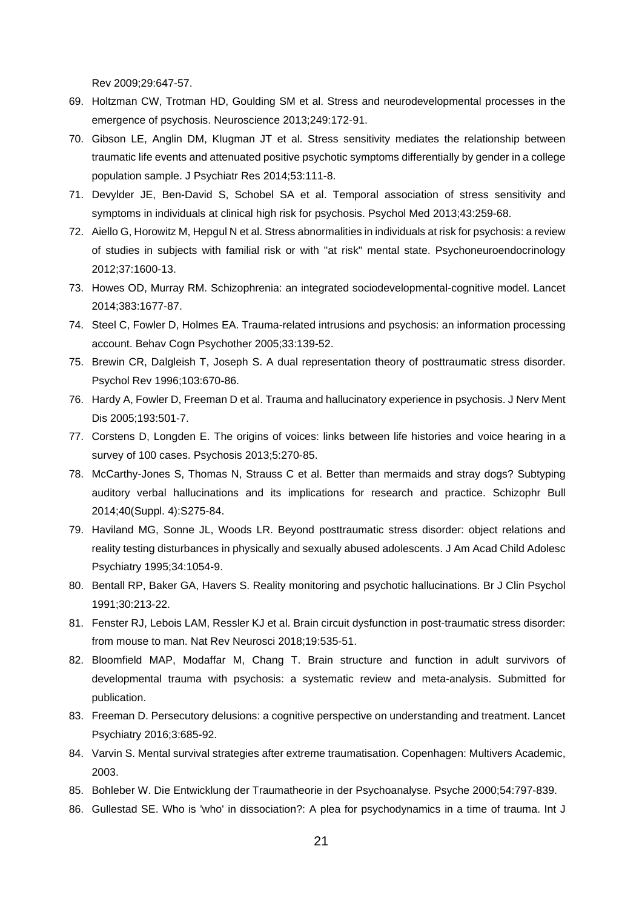Rev 2009;29:647-57.

- 69. Holtzman CW, Trotman HD, Goulding SM et al. Stress and neurodevelopmental processes in the emergence of psychosis. Neuroscience 2013;249:172-91.
- 70. Gibson LE, Anglin DM, Klugman JT et al. Stress sensitivity mediates the relationship between traumatic life events and attenuated positive psychotic symptoms differentially by gender in a college population sample. J Psychiatr Res 2014;53:111-8.
- 71. Devylder JE, Ben-David S, Schobel SA et al. Temporal association of stress sensitivity and symptoms in individuals at clinical high risk for psychosis. Psychol Med 2013;43:259-68.
- 72. Aiello G, Horowitz M, Hepgul N et al. Stress abnormalities in individuals at risk for psychosis: a review of studies in subjects with familial risk or with "at risk" mental state. Psychoneuroendocrinology 2012;37:1600-13.
- 73. Howes OD, Murray RM. Schizophrenia: an integrated sociodevelopmental-cognitive model. Lancet 2014;383:1677-87.
- 74. Steel C, Fowler D, Holmes EA. Trauma-related intrusions and psychosis: an information processing account. Behav Cogn Psychother 2005;33:139-52.
- 75. Brewin CR, Dalgleish T, Joseph S. A dual representation theory of posttraumatic stress disorder. Psychol Rev 1996;103:670-86.
- 76. Hardy A, Fowler D, Freeman D et al. Trauma and hallucinatory experience in psychosis. J Nerv Ment Dis 2005;193:501-7.
- 77. Corstens D, Longden E. The origins of voices: links between life histories and voice hearing in a survey of 100 cases. Psychosis 2013;5:270-85.
- 78. McCarthy-Jones S, Thomas N, Strauss C et al. Better than mermaids and stray dogs? Subtyping auditory verbal hallucinations and its implications for research and practice. Schizophr Bull 2014;40(Suppl. 4):S275-84.
- 79. Haviland MG, Sonne JL, Woods LR. Beyond posttraumatic stress disorder: object relations and reality testing disturbances in physically and sexually abused adolescents. J Am Acad Child Adolesc Psychiatry 1995;34:1054-9.
- 80. Bentall RP, Baker GA, Havers S. Reality monitoring and psychotic hallucinations. Br J Clin Psychol 1991;30:213-22.
- 81. Fenster RJ, Lebois LAM, Ressler KJ et al. Brain circuit dysfunction in post-traumatic stress disorder: from mouse to man. Nat Rev Neurosci 2018;19:535-51.
- 82. Bloomfield MAP, Modaffar M, Chang T. Brain structure and function in adult survivors of developmental trauma with psychosis: a systematic review and meta-analysis. Submitted for publication.
- 83. Freeman D. Persecutory delusions: a cognitive perspective on understanding and treatment. Lancet Psychiatry 2016;3:685-92.
- 84. Varvin S. Mental survival strategies after extreme traumatisation. Copenhagen: Multivers Academic, 2003.
- 85. Bohleber W. Die Entwicklung der Traumatheorie in der Psychoanalyse. Psyche 2000;54:797-839.
- 86. Gullestad SE. Who is 'who' in dissociation?: A plea for psychodynamics in a time of trauma. Int J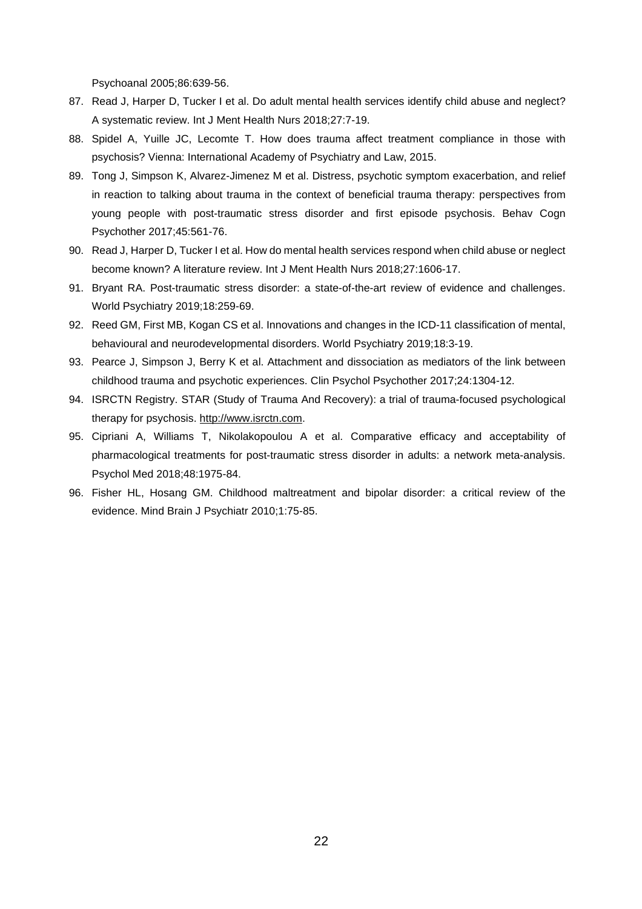Psychoanal 2005;86:639-56.

- 87. Read J, Harper D, Tucker I et al. Do adult mental health services identify child abuse and neglect? A systematic review. Int J Ment Health Nurs 2018;27:7-19.
- 88. Spidel A, Yuille JC, Lecomte T. How does trauma affect treatment compliance in those with psychosis? Vienna: International Academy of Psychiatry and Law, 2015.
- 89. Tong J, Simpson K, Alvarez-Jimenez M et al. Distress, psychotic symptom exacerbation, and relief in reaction to talking about trauma in the context of beneficial trauma therapy: perspectives from young people with post-traumatic stress disorder and first episode psychosis. Behav Cogn Psychother 2017;45:561-76.
- 90. Read J, Harper D, Tucker I et al. How do mental health services respond when child abuse or neglect become known? A literature review. Int J Ment Health Nurs 2018;27:1606-17.
- 91. Bryant RA. Post-traumatic stress disorder: a state-of-the-art review of evidence and challenges. World Psychiatry 2019;18:259-69.
- 92. Reed GM, First MB, Kogan CS et al. Innovations and changes in the ICD-11 classification of mental, behavioural and neurodevelopmental disorders. World Psychiatry 2019;18:3-19.
- 93. Pearce J, Simpson J, Berry K et al. Attachment and dissociation as mediators of the link between childhood trauma and psychotic experiences. Clin Psychol Psychother 2017;24:1304-12.
- 94. ISRCTN Registry. STAR (Study of Trauma And Recovery): a trial of trauma-focused psychological therapy for psychosis. [http://www.isrctn.com.](http://www.isrctn.com/)
- 95. Cipriani A, Williams T, Nikolakopoulou A et al. Comparative efficacy and acceptability of pharmacological treatments for post-traumatic stress disorder in adults: a network meta-analysis. Psychol Med 2018;48:1975-84.
- 96. Fisher HL, Hosang GM. Childhood maltreatment and bipolar disorder: a critical review of the evidence. Mind Brain J Psychiatr 2010;1:75-85.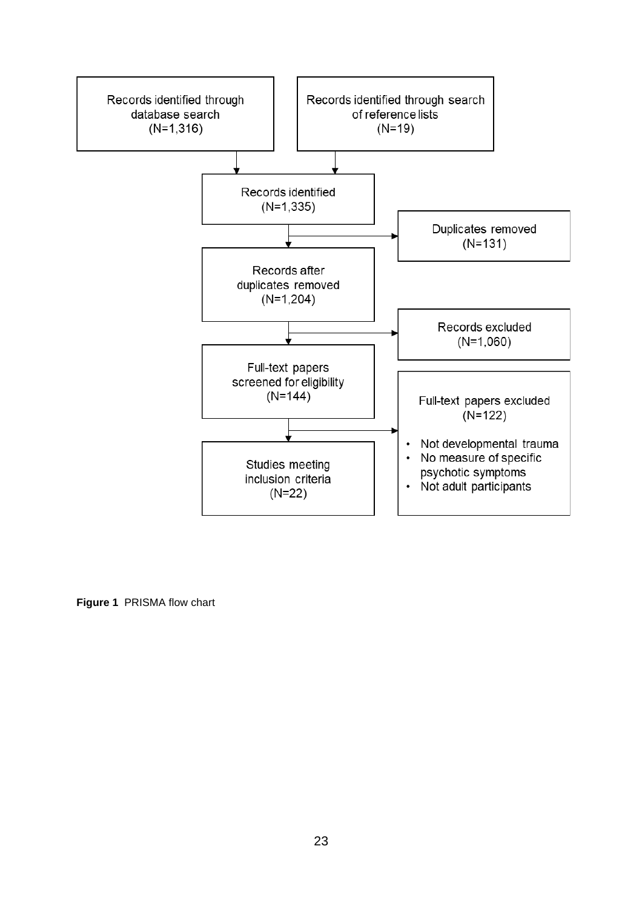

**Figure 1** PRISMA flow chart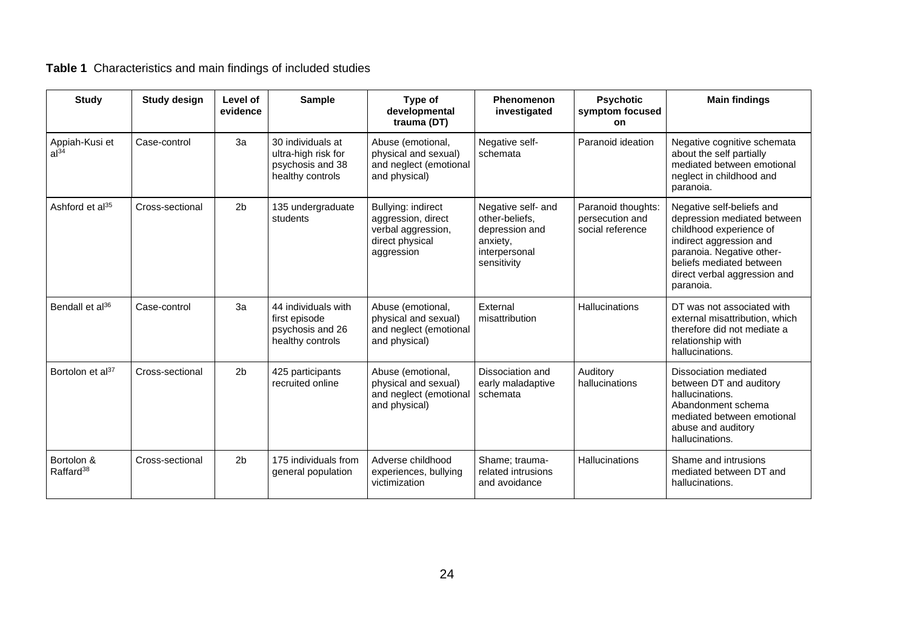# **Table 1** Characteristics and main findings of included studies

| <b>Study</b>                        | <b>Study design</b> | Level of<br>evidence | <b>Sample</b>                                                                    | Type of<br>developmental<br>trauma (DT)                                                         | Phenomenon<br>investigated                                                                         | <b>Psychotic</b><br>symptom focused<br>on                 | <b>Main findings</b>                                                                                                                                                                                                 |
|-------------------------------------|---------------------|----------------------|----------------------------------------------------------------------------------|-------------------------------------------------------------------------------------------------|----------------------------------------------------------------------------------------------------|-----------------------------------------------------------|----------------------------------------------------------------------------------------------------------------------------------------------------------------------------------------------------------------------|
| Appiah-Kusi et<br>al <sup>34</sup>  | Case-control        | 3a                   | 30 individuals at<br>ultra-high risk for<br>psychosis and 38<br>healthy controls | Abuse (emotional,<br>physical and sexual)<br>and neglect (emotional<br>and physical)            | Negative self-<br>schemata                                                                         | Paranoid ideation                                         | Negative cognitive schemata<br>about the self partially<br>mediated between emotional<br>neglect in childhood and<br>paranoia.                                                                                       |
| Ashford et al <sup>35</sup>         | Cross-sectional     | 2 <sub>b</sub>       | 135 undergraduate<br>students                                                    | Bullying: indirect<br>aggression, direct<br>verbal aggression,<br>direct physical<br>aggression | Negative self- and<br>other-beliefs.<br>depression and<br>anxiety,<br>interpersonal<br>sensitivity | Paranoid thoughts:<br>persecution and<br>social reference | Negative self-beliefs and<br>depression mediated between<br>childhood experience of<br>indirect aggression and<br>paranoia. Negative other-<br>beliefs mediated between<br>direct verbal aggression and<br>paranoia. |
| Bendall et al <sup>36</sup>         | Case-control        | 3a                   | 44 individuals with<br>first episode<br>psychosis and 26<br>healthy controls     | Abuse (emotional,<br>physical and sexual)<br>and neglect (emotional<br>and physical)            | External<br>misattribution                                                                         | <b>Hallucinations</b>                                     | DT was not associated with<br>external misattribution, which<br>therefore did not mediate a<br>relationship with<br>hallucinations.                                                                                  |
| Bortolon et al <sup>37</sup>        | Cross-sectional     | 2 <sub>b</sub>       | 425 participants<br>recruited online                                             | Abuse (emotional,<br>physical and sexual)<br>and neglect (emotional<br>and physical)            | Dissociation and<br>early maladaptive<br>schemata                                                  | Auditory<br>hallucinations                                | Dissociation mediated<br>between DT and auditory<br>hallucinations.<br>Abandonment schema<br>mediated between emotional<br>abuse and auditory<br>hallucinations.                                                     |
| Bortolon &<br>Raffard <sup>38</sup> | Cross-sectional     | 2 <sub>b</sub>       | 175 individuals from<br>general population                                       | Adverse childhood<br>experiences, bullying<br>victimization                                     | Shame; trauma-<br>related intrusions<br>and avoidance                                              | <b>Hallucinations</b>                                     | Shame and intrusions<br>mediated between DT and<br>hallucinations.                                                                                                                                                   |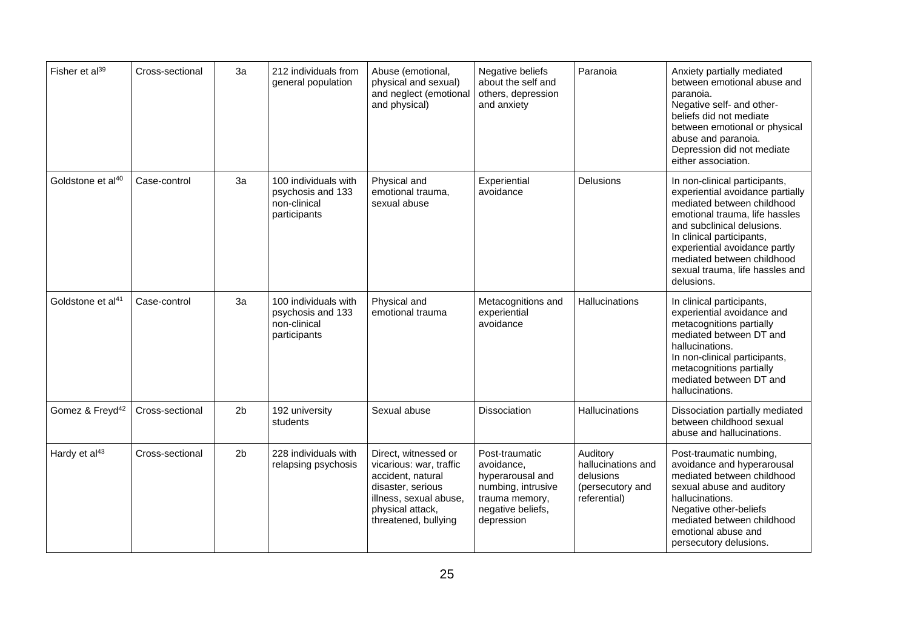| Fisher et al <sup>39</sup>    | Cross-sectional | 3a             | 212 individuals from<br>general population                                | Abuse (emotional,<br>physical and sexual)<br>and neglect (emotional<br>and physical)                                                                            | Negative beliefs<br>about the self and<br>others, depression<br>and anxiety                                                 | Paranoia                                                                        | Anxiety partially mediated<br>between emotional abuse and<br>paranoia.<br>Negative self- and other-<br>beliefs did not mediate<br>between emotional or physical<br>abuse and paranoia.<br>Depression did not mediate<br>either association.                                                                  |
|-------------------------------|-----------------|----------------|---------------------------------------------------------------------------|-----------------------------------------------------------------------------------------------------------------------------------------------------------------|-----------------------------------------------------------------------------------------------------------------------------|---------------------------------------------------------------------------------|--------------------------------------------------------------------------------------------------------------------------------------------------------------------------------------------------------------------------------------------------------------------------------------------------------------|
| Goldstone et al <sup>40</sup> | Case-control    | 3a             | 100 individuals with<br>psychosis and 133<br>non-clinical<br>participants | Physical and<br>emotional trauma,<br>sexual abuse                                                                                                               | Experiential<br>avoidance                                                                                                   | Delusions                                                                       | In non-clinical participants,<br>experiential avoidance partially<br>mediated between childhood<br>emotional trauma, life hassles<br>and subclinical delusions.<br>In clinical participants,<br>experiential avoidance partly<br>mediated between childhood<br>sexual trauma, life hassles and<br>delusions. |
| Goldstone et al <sup>41</sup> | Case-control    | 3a             | 100 individuals with<br>psychosis and 133<br>non-clinical<br>participants | Physical and<br>emotional trauma                                                                                                                                | Metacognitions and<br>experiential<br>avoidance                                                                             | <b>Hallucinations</b>                                                           | In clinical participants,<br>experiential avoidance and<br>metacognitions partially<br>mediated between DT and<br>hallucinations.<br>In non-clinical participants,<br>metacognitions partially<br>mediated between DT and<br>hallucinations.                                                                 |
| Gomez & Freyd <sup>42</sup>   | Cross-sectional | 2 <sub>b</sub> | 192 university<br>students                                                | Sexual abuse                                                                                                                                                    | <b>Dissociation</b>                                                                                                         | <b>Hallucinations</b>                                                           | Dissociation partially mediated<br>between childhood sexual<br>abuse and hallucinations.                                                                                                                                                                                                                     |
| Hardy et al <sup>43</sup>     | Cross-sectional | 2 <sub>b</sub> | 228 individuals with<br>relapsing psychosis                               | Direct, witnessed or<br>vicarious: war, traffic<br>accident, natural<br>disaster, serious<br>illness, sexual abuse,<br>physical attack,<br>threatened, bullying | Post-traumatic<br>avoidance,<br>hyperarousal and<br>numbing, intrusive<br>trauma memory,<br>negative beliefs,<br>depression | Auditory<br>hallucinations and<br>delusions<br>(persecutory and<br>referential) | Post-traumatic numbing,<br>avoidance and hyperarousal<br>mediated between childhood<br>sexual abuse and auditory<br>hallucinations.<br>Negative other-beliefs<br>mediated between childhood<br>emotional abuse and<br>persecutory delusions.                                                                 |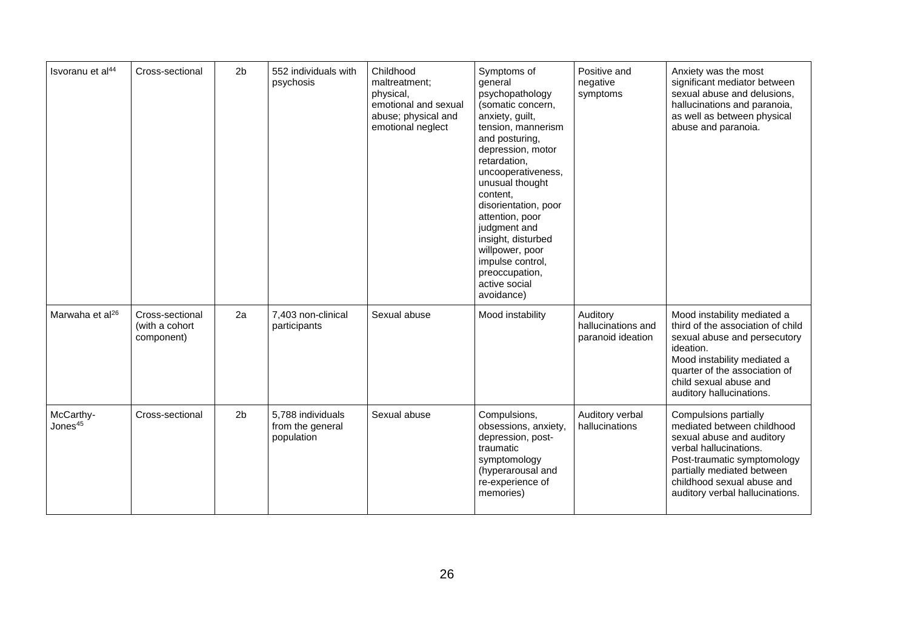| Isvoranu et al <sup>44</sup>     | Cross-sectional                                 | 2 <sub>b</sub> | 552 individuals with<br>psychosis                   | Childhood<br>maltreatment:<br>physical,<br>emotional and sexual<br>abuse; physical and<br>emotional neglect | Symptoms of<br>general<br>psychopathology<br>(somatic concern,<br>anxiety, guilt,<br>tension, mannerism<br>and posturing,<br>depression, motor<br>retardation,<br>uncooperativeness,<br>unusual thought<br>content,<br>disorientation, poor<br>attention, poor<br>judgment and<br>insight, disturbed<br>willpower, poor<br>impulse control,<br>preoccupation,<br>active social<br>avoidance) | Positive and<br>negative<br>symptoms                | Anxiety was the most<br>significant mediator between<br>sexual abuse and delusions,<br>hallucinations and paranoia,<br>as well as between physical<br>abuse and paranoia.                                                                |
|----------------------------------|-------------------------------------------------|----------------|-----------------------------------------------------|-------------------------------------------------------------------------------------------------------------|----------------------------------------------------------------------------------------------------------------------------------------------------------------------------------------------------------------------------------------------------------------------------------------------------------------------------------------------------------------------------------------------|-----------------------------------------------------|------------------------------------------------------------------------------------------------------------------------------------------------------------------------------------------------------------------------------------------|
| Marwaha et al <sup>26</sup>      | Cross-sectional<br>(with a cohort<br>component) | 2a             | 7,403 non-clinical<br>participants                  | Sexual abuse                                                                                                | Mood instability                                                                                                                                                                                                                                                                                                                                                                             | Auditory<br>hallucinations and<br>paranoid ideation | Mood instability mediated a<br>third of the association of child<br>sexual abuse and persecutory<br>ideation.<br>Mood instability mediated a<br>quarter of the association of<br>child sexual abuse and<br>auditory hallucinations.      |
| McCarthy-<br>Jones <sup>45</sup> | Cross-sectional                                 | 2 <sub>b</sub> | 5,788 individuals<br>from the general<br>population | Sexual abuse                                                                                                | Compulsions,<br>obsessions, anxiety,<br>depression, post-<br>traumatic<br>symptomology<br>(hyperarousal and<br>re-experience of<br>memories)                                                                                                                                                                                                                                                 | Auditory verbal<br>hallucinations                   | Compulsions partially<br>mediated between childhood<br>sexual abuse and auditory<br>verbal hallucinations.<br>Post-traumatic symptomology<br>partially mediated between<br>childhood sexual abuse and<br>auditory verbal hallucinations. |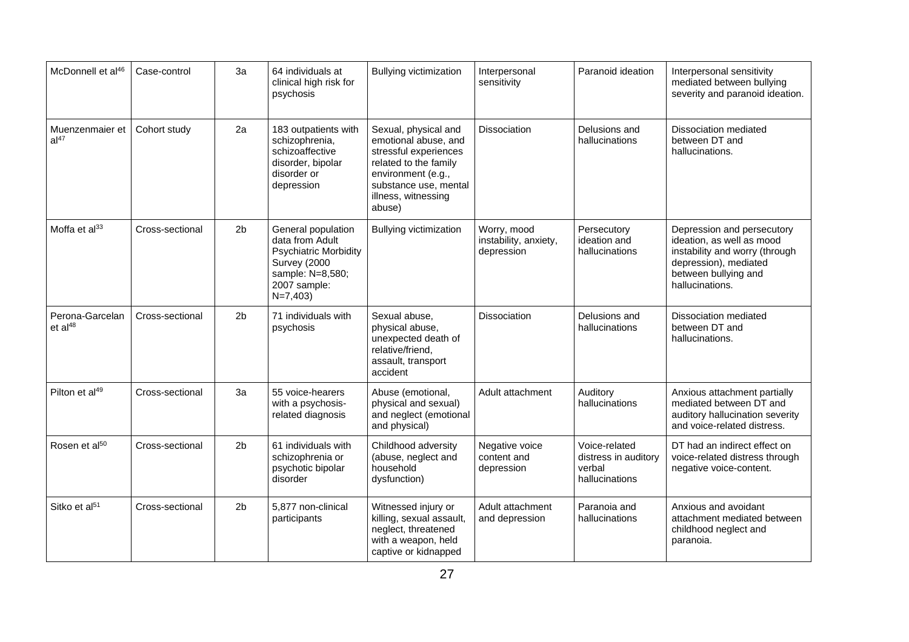| McDonnell et al <sup>46</sup>            | Case-control    | 3a             | 64 individuals at<br>clinical high risk for<br>psychosis                                                                               | <b>Bullying victimization</b>                                                                                                                                                  | Interpersonal<br>sensitivity                       | Paranoid ideation                                                 | Interpersonal sensitivity<br>mediated between bullying<br>severity and paranoid ideation.                                                                     |
|------------------------------------------|-----------------|----------------|----------------------------------------------------------------------------------------------------------------------------------------|--------------------------------------------------------------------------------------------------------------------------------------------------------------------------------|----------------------------------------------------|-------------------------------------------------------------------|---------------------------------------------------------------------------------------------------------------------------------------------------------------|
| Muenzenmaier et<br>al <sup>47</sup>      | Cohort study    | 2a             | 183 outpatients with<br>schizophrenia,<br>schizoaffective<br>disorder, bipolar<br>disorder or<br>depression                            | Sexual, physical and<br>emotional abuse, and<br>stressful experiences<br>related to the family<br>environment (e.g.,<br>substance use, mental<br>illness, witnessing<br>abuse) | <b>Dissociation</b>                                | Delusions and<br>hallucinations                                   | Dissociation mediated<br>between DT and<br>hallucinations.                                                                                                    |
| Moffa et al <sup>33</sup>                | Cross-sectional | 2 <sub>b</sub> | General population<br>data from Adult<br><b>Psychiatric Morbidity</b><br>Survey (2000<br>sample: N=8,580;<br>2007 sample:<br>$N=7,403$ | <b>Bullying victimization</b>                                                                                                                                                  | Worry, mood<br>instability, anxiety,<br>depression | Persecutory<br>ideation and<br>hallucinations                     | Depression and persecutory<br>ideation, as well as mood<br>instability and worry (through<br>depression), mediated<br>between bullying and<br>hallucinations. |
| Perona-Garcelan<br>$et$ al <sup>48</sup> | Cross-sectional | 2 <sub>b</sub> | 71 individuals with<br>psychosis                                                                                                       | Sexual abuse,<br>physical abuse,<br>unexpected death of<br>relative/friend,<br>assault, transport<br>accident                                                                  | Dissociation                                       | Delusions and<br>hallucinations                                   | Dissociation mediated<br>between DT and<br>hallucinations.                                                                                                    |
| Pilton et al <sup>49</sup>               | Cross-sectional | 3a             | 55 voice-hearers<br>with a psychosis-<br>related diagnosis                                                                             | Abuse (emotional,<br>physical and sexual)<br>and neglect (emotional<br>and physical)                                                                                           | Adult attachment                                   | Auditory<br>hallucinations                                        | Anxious attachment partially<br>mediated between DT and<br>auditory hallucination severity<br>and voice-related distress.                                     |
| Rosen et al <sup>50</sup>                | Cross-sectional | 2 <sub>b</sub> | 61 individuals with<br>schizophrenia or<br>psychotic bipolar<br>disorder                                                               | Childhood adversity<br>(abuse, neglect and<br>household<br>dysfunction)                                                                                                        | Negative voice<br>content and<br>depression        | Voice-related<br>distress in auditory<br>verbal<br>hallucinations | DT had an indirect effect on<br>voice-related distress through<br>negative voice-content.                                                                     |
| Sitko et al <sup>51</sup>                | Cross-sectional | 2 <sub>b</sub> | 5,877 non-clinical<br>participants                                                                                                     | Witnessed injury or<br>killing, sexual assault,<br>neglect, threatened<br>with a weapon, held<br>captive or kidnapped                                                          | Adult attachment<br>and depression                 | Paranoia and<br>hallucinations                                    | Anxious and avoidant<br>attachment mediated between<br>childhood neglect and<br>paranoia.                                                                     |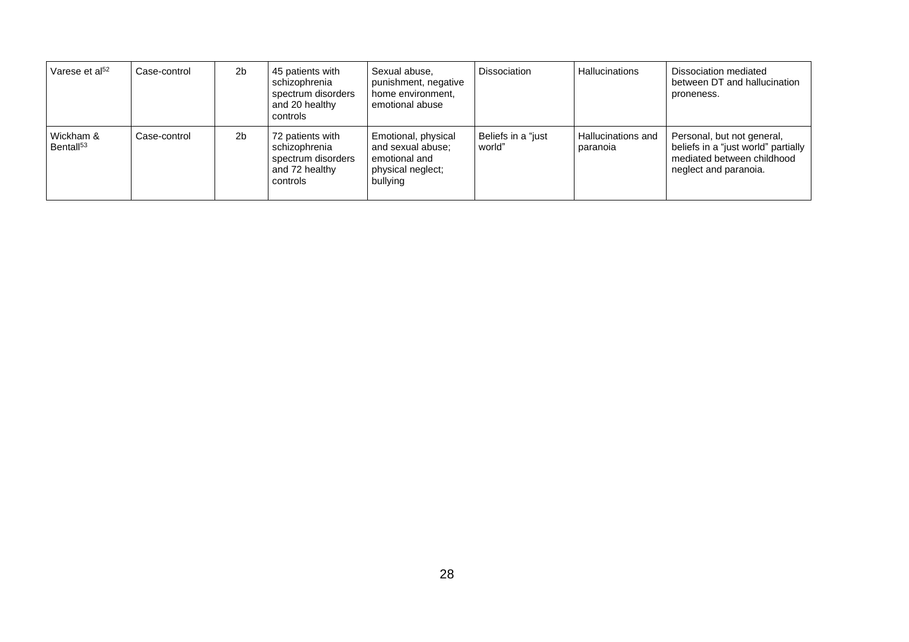| Varese et $al52$                  | Case-control | 2 <sub>b</sub> | 45 patients with<br>schizophrenia<br>spectrum disorders<br>and 20 healthy<br>controls | Sexual abuse.<br>punishment, negative<br>home environment,<br>emotional abuse              | Dissociation                 | <b>Hallucinations</b>          | Dissociation mediated<br>between DT and hallucination<br>proneness.                                                      |
|-----------------------------------|--------------|----------------|---------------------------------------------------------------------------------------|--------------------------------------------------------------------------------------------|------------------------------|--------------------------------|--------------------------------------------------------------------------------------------------------------------------|
| Wickham &<br>Bental <sup>53</sup> | Case-control | 2 <sub>b</sub> | 72 patients with<br>schizophrenia<br>spectrum disorders<br>and 72 healthy<br>controls | Emotional, physical<br>and sexual abuse:<br>emotional and<br>physical neglect;<br>bullying | Beliefs in a "just<br>world" | Hallucinations and<br>paranoia | Personal, but not general,<br>beliefs in a "just world" partially<br>mediated between childhood<br>neglect and paranoia. |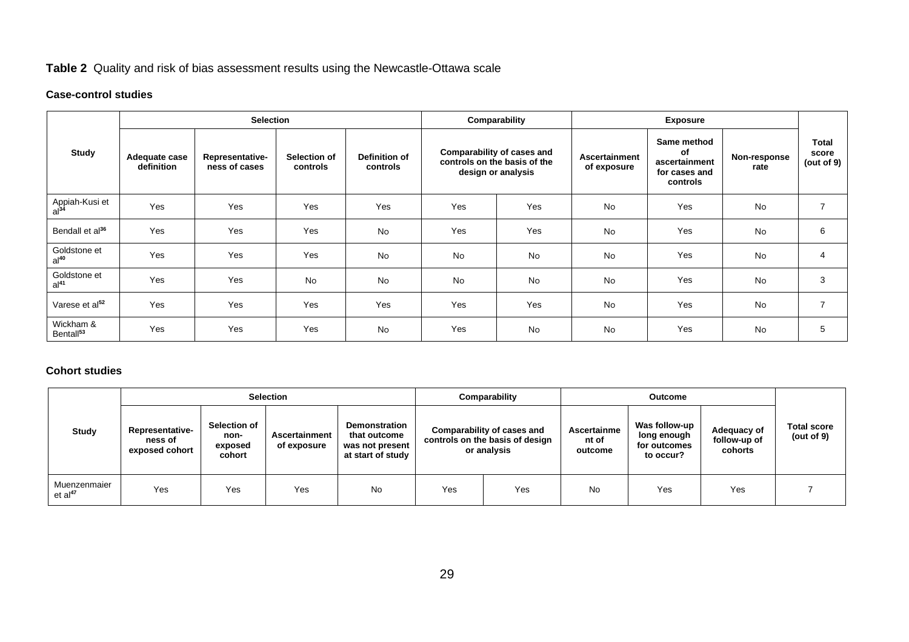## **Table 2** Quality and risk of bias assessment results using the Newcastle-Ottawa scale

## **Case-control studies**

|                                    |                             | <b>Selection</b>                 |                          |                                  | Comparability |                                                                                  |                              |                                                                 |                      |                                        |
|------------------------------------|-----------------------------|----------------------------------|--------------------------|----------------------------------|---------------|----------------------------------------------------------------------------------|------------------------------|-----------------------------------------------------------------|----------------------|----------------------------------------|
| <b>Study</b>                       | Adequate case<br>definition | Representative-<br>ness of cases | Selection of<br>controls | <b>Definition of</b><br>controls |               | Comparability of cases and<br>controls on the basis of the<br>design or analysis | Ascertainment<br>of exposure | Same method<br>of<br>ascertainment<br>for cases and<br>controls | Non-response<br>rate | <b>Total</b><br>score<br>(out of $9$ ) |
| Appiah-Kusi et<br>al <sup>34</sup> | Yes                         | Yes                              | Yes                      | Yes                              | Yes           | Yes                                                                              | <b>No</b>                    | Yes                                                             | No                   | $\overline{7}$                         |
| Bendall et al <sup>36</sup>        | Yes                         | Yes                              | Yes                      | No                               | Yes           | Yes                                                                              | <b>No</b>                    | Yes                                                             | No                   | 6                                      |
| Goldstone et<br>$al^{40}$          | Yes                         | Yes                              | Yes                      | No                               | No            | No                                                                               | <b>No</b>                    | Yes                                                             | No                   | 4                                      |
| Goldstone et<br>al <sup>41</sup>   | Yes                         | Yes                              | No                       | No                               | No            | <b>No</b>                                                                        | <b>No</b>                    | Yes                                                             | <b>No</b>            | 3                                      |
| Varese et al <sup>52</sup>         | Yes                         | Yes                              | Yes                      | Yes                              | Yes           | Yes                                                                              | <b>No</b>                    | Yes                                                             | No                   | $\overline{7}$                         |
| Wickham &<br>Bental <sup>53</sup>  | Yes                         | Yes                              | Yes                      | No                               | Yes           | No                                                                               | No                           | Yes                                                             | No                   | 5                                      |

## **Cohort studies**

|                                     |                                                     |                                           | <b>Selection</b>             |                                                                       | Comparability |                                                                              |                                 |                                                           |                                        |                                     |
|-------------------------------------|-----------------------------------------------------|-------------------------------------------|------------------------------|-----------------------------------------------------------------------|---------------|------------------------------------------------------------------------------|---------------------------------|-----------------------------------------------------------|----------------------------------------|-------------------------------------|
| <b>Study</b>                        | <b>Representative-</b><br>ness of<br>exposed cohort | Selection of<br>non-<br>exposed<br>cohort | Ascertainment<br>of exposure | Demonstration<br>that outcome<br>was not present<br>at start of study |               | Comparability of cases and<br>controls on the basis of design<br>or analysis | Ascertainme<br>nt of<br>outcome | Was follow-up<br>long enough<br>for outcomes<br>to occur? | Adequacy of<br>follow-up of<br>cohorts | <b>Total score</b><br>(out of $9$ ) |
| Muenzenmaier<br>et al <sup>47</sup> | Yes                                                 | Yes                                       | Yes                          | <b>No</b>                                                             | Yes           | Yes                                                                          | <b>No</b>                       | Yes                                                       | Yes                                    |                                     |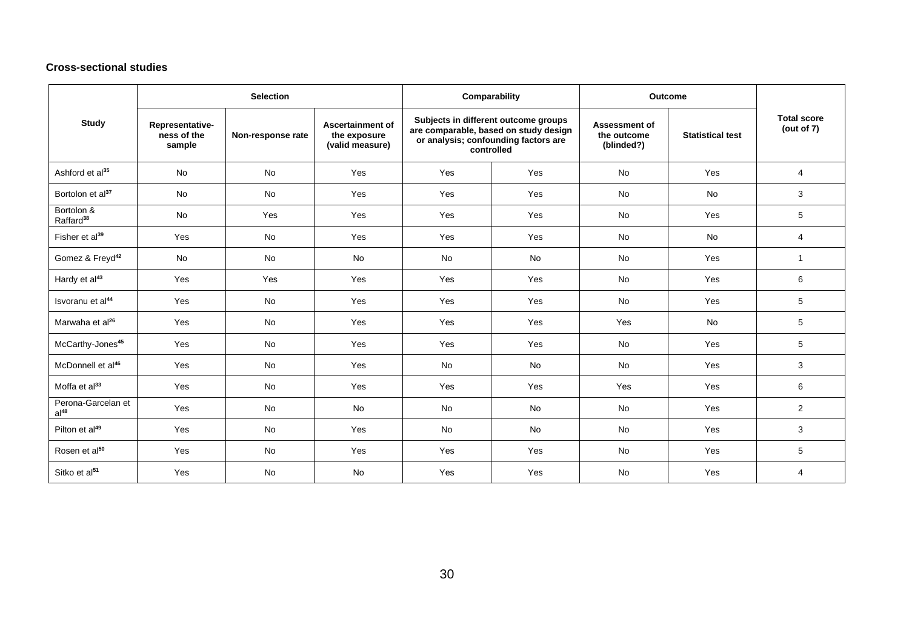## **Cross-sectional studies**

|                                        |                                                               | <b>Selection</b> |                                                            |                                                                                                                                     | Comparability | <b>Outcome</b>                                    |                         |                                     |
|----------------------------------------|---------------------------------------------------------------|------------------|------------------------------------------------------------|-------------------------------------------------------------------------------------------------------------------------------------|---------------|---------------------------------------------------|-------------------------|-------------------------------------|
| <b>Study</b>                           | Representative-<br>ness of the<br>Non-response rate<br>sample |                  | <b>Ascertainment of</b><br>the exposure<br>(valid measure) | Subjects in different outcome groups<br>are comparable, based on study design<br>or analysis; confounding factors are<br>controlled |               | <b>Assessment of</b><br>the outcome<br>(blinded?) | <b>Statistical test</b> | <b>Total score</b><br>(out of $7$ ) |
| Ashford et al <sup>35</sup>            | <b>No</b>                                                     | <b>No</b>        | Yes                                                        | Yes                                                                                                                                 | Yes           | <b>No</b>                                         | Yes                     | 4                                   |
| Bortolon et al <sup>37</sup>           | No                                                            | <b>No</b>        | Yes                                                        | Yes                                                                                                                                 | Yes           | <b>No</b>                                         | <b>No</b>               | 3                                   |
| Bortolon &<br>Raffard <sup>38</sup>    | No                                                            | Yes              | Yes                                                        | Yes                                                                                                                                 | Yes           | <b>No</b>                                         | Yes                     | 5                                   |
| Fisher et al <sup>39</sup>             | Yes                                                           | No               | Yes                                                        | Yes                                                                                                                                 | Yes           | <b>No</b>                                         | <b>No</b>               | 4                                   |
| Gomez & Freyd <sup>42</sup>            | <b>No</b>                                                     | <b>No</b>        | <b>No</b>                                                  | <b>No</b>                                                                                                                           | <b>No</b>     | <b>No</b>                                         | Yes                     | 1                                   |
| Hardy et al <sup>43</sup>              | Yes                                                           | Yes              | Yes                                                        | Yes                                                                                                                                 | Yes           | <b>No</b>                                         | Yes                     | 6                                   |
| Isvoranu et al <sup>44</sup>           | Yes                                                           | <b>No</b>        | Yes                                                        | Yes                                                                                                                                 | Yes           | <b>No</b>                                         | Yes                     | 5                                   |
| Marwaha et al <sup>26</sup>            | Yes                                                           | <b>No</b>        | Yes                                                        | Yes                                                                                                                                 | Yes           | Yes                                               | <b>No</b>               | 5                                   |
| McCarthy-Jones <sup>45</sup>           | Yes                                                           | <b>No</b>        | Yes                                                        | Yes                                                                                                                                 | Yes           | <b>No</b>                                         | Yes                     | 5                                   |
| McDonnell et al <sup>46</sup>          | Yes                                                           | <b>No</b>        | Yes                                                        | <b>No</b>                                                                                                                           | <b>No</b>     | <b>No</b>                                         | Yes                     | 3                                   |
| Moffa et al <sup>33</sup>              | Yes                                                           | <b>No</b>        | Yes                                                        | Yes                                                                                                                                 | Yes           | Yes                                               | Yes                     | 6                                   |
| Perona-Garcelan et<br>al <sup>48</sup> | Yes                                                           | No               | <b>No</b>                                                  | <b>No</b>                                                                                                                           | <b>No</b>     | <b>No</b>                                         | Yes                     | $\mathbf{2}$                        |
| Pilton et al <sup>49</sup>             | Yes                                                           | <b>No</b>        | Yes                                                        | <b>No</b>                                                                                                                           | <b>No</b>     | <b>No</b>                                         | Yes                     | 3                                   |
| Rosen et al <sup>50</sup>              | Yes                                                           | <b>No</b>        | Yes                                                        | Yes                                                                                                                                 | Yes           | <b>No</b>                                         | Yes                     | 5                                   |
| Sitko et al <sup>51</sup>              | Yes                                                           | <b>No</b>        | <b>No</b>                                                  | Yes                                                                                                                                 | Yes           | <b>No</b>                                         | Yes                     | $\overline{4}$                      |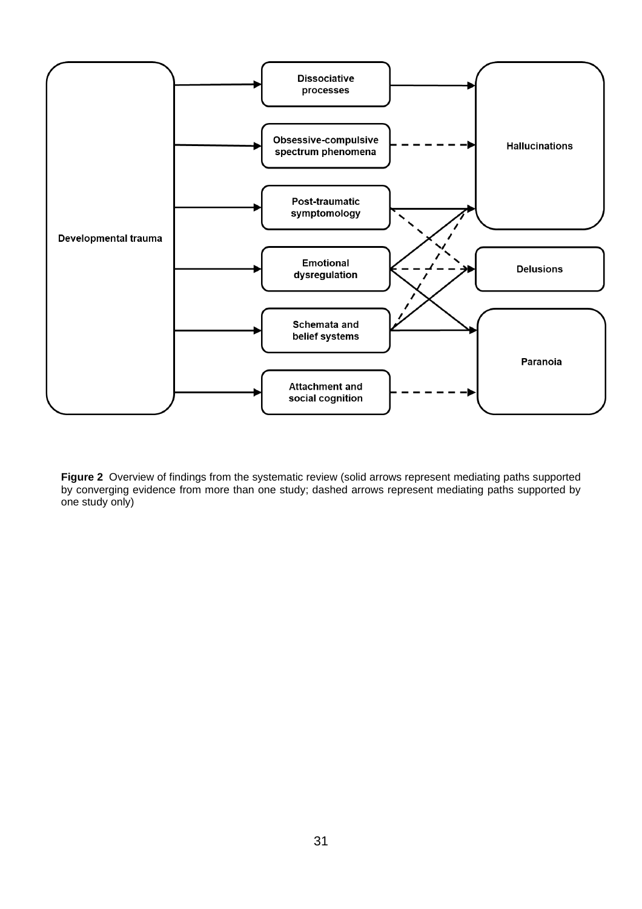

**Figure 2** Overview of findings from the systematic review (solid arrows represent mediating paths supported by converging evidence from more than one study; dashed arrows represent mediating paths supported by one study only)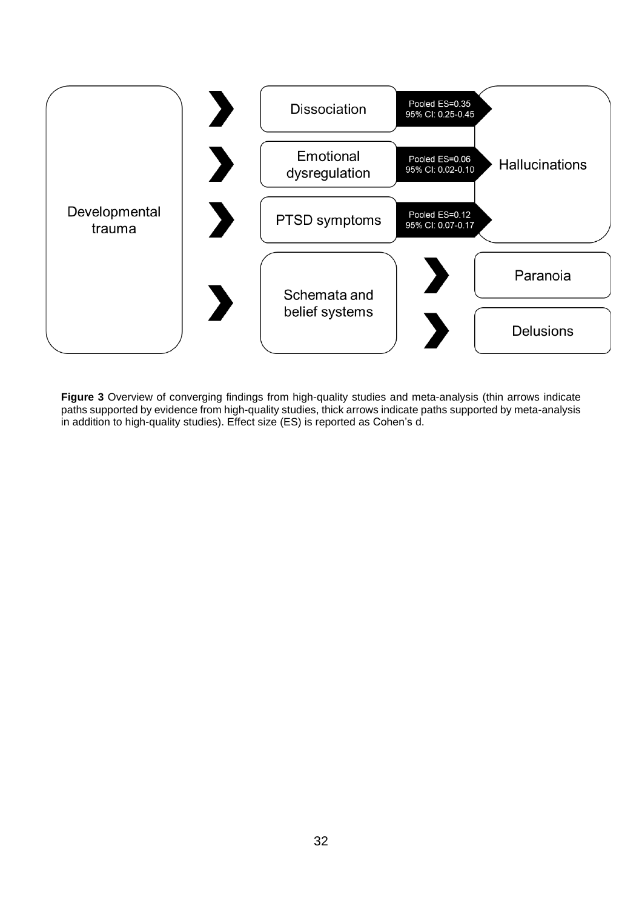

**Figure 3** Overview of converging findings from high-quality studies and meta-analysis (thin arrows indicate paths supported by evidence from high-quality studies, thick arrows indicate paths supported by meta-analysis in addition to high-quality studies). Effect size (ES) is reported as Cohen's d.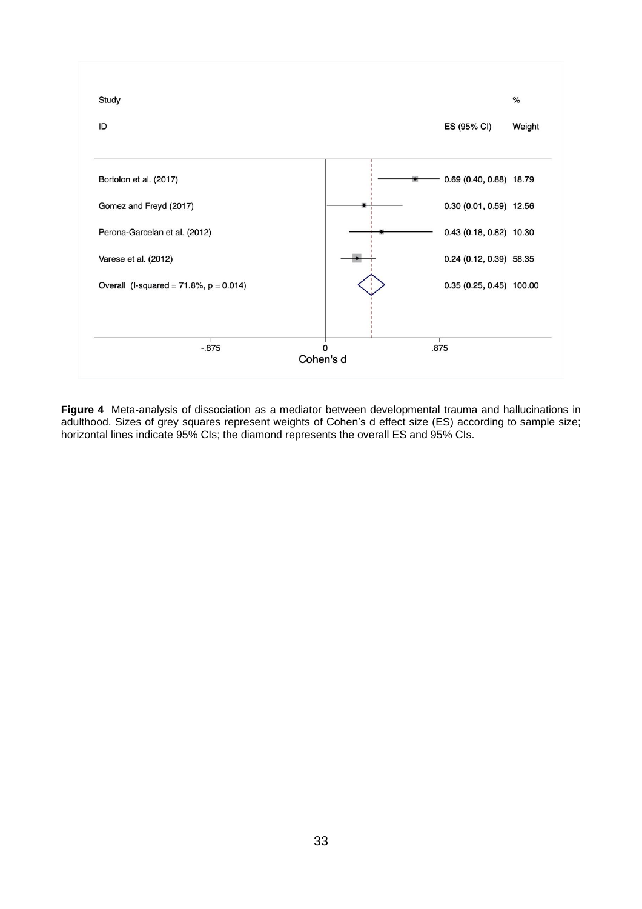

**Figure 4** Meta-analysis of dissociation as a mediator between developmental trauma and hallucinations in adulthood. Sizes of grey squares represent weights of Cohen's d effect size (ES) according to sample size; horizontal lines indicate 95% CIs; the diamond represents the overall ES and 95% CIs.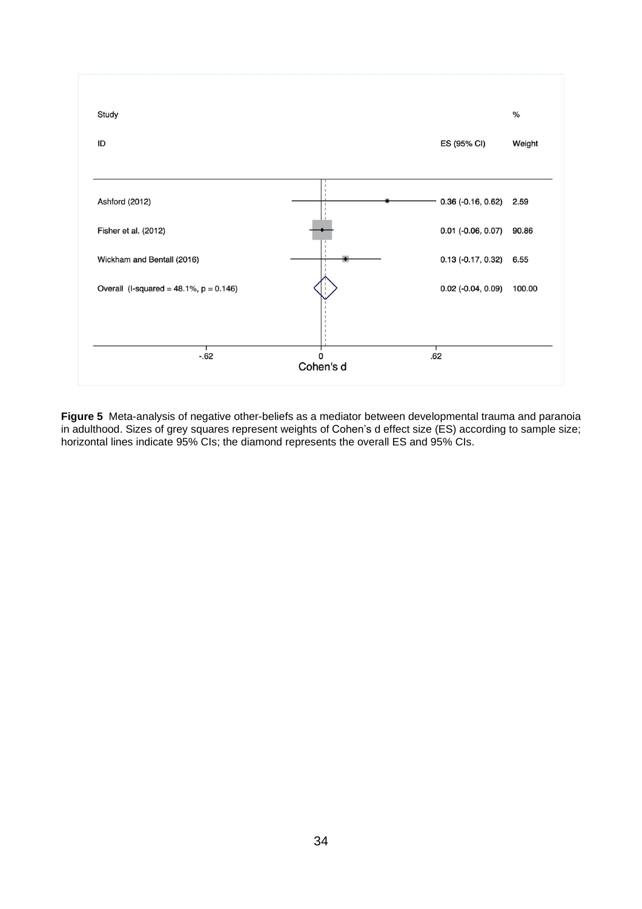

**Figure 5** Meta-analysis of negative other-beliefs as a mediator between developmental trauma and paranoia in adulthood. Sizes of grey squares represent weights of Cohen's d effect size (ES) according to sample size; horizontal lines indicate 95% CIs; the diamond represents the overall ES and 95% CIs.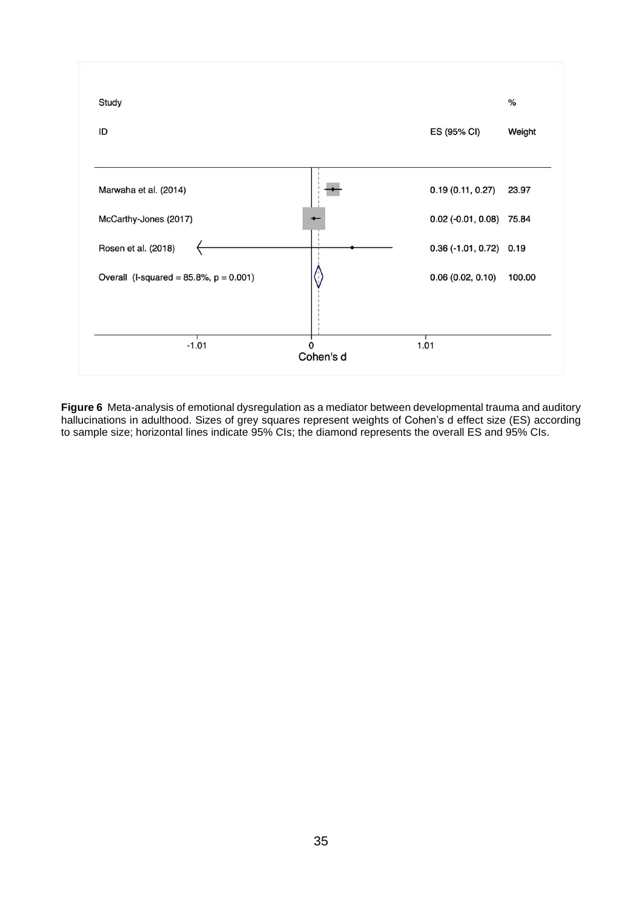

**Figure 6** Meta-analysis of emotional dysregulation as a mediator between developmental trauma and auditory hallucinations in adulthood. Sizes of grey squares represent weights of Cohen's d effect size (ES) according to sample size; horizontal lines indicate 95% CIs; the diamond represents the overall ES and 95% CIs.